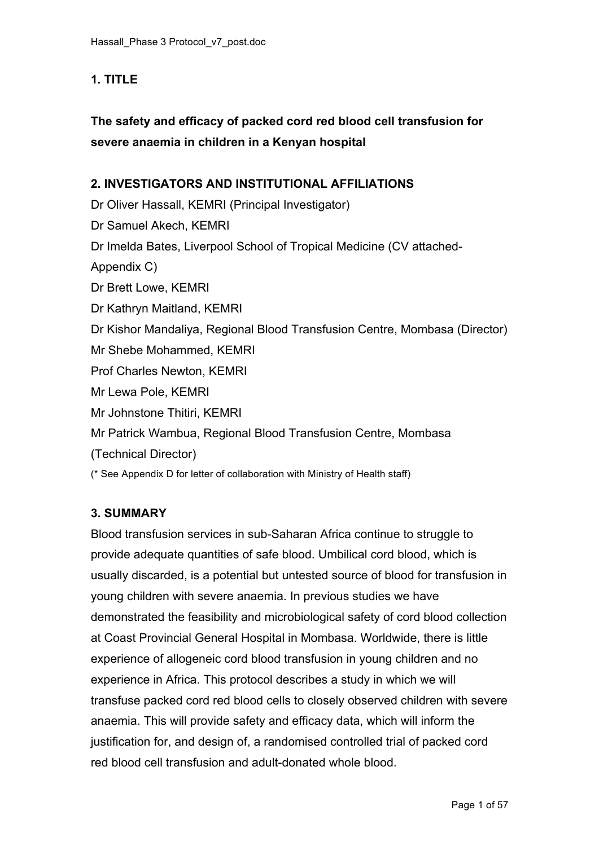# **1. TITLE**

# **The safety and efficacy of packed cord red blood cell transfusion for severe anaemia in children in a Kenyan hospital**

# **2. INVESTIGATORS AND INSTITUTIONAL AFFILIATIONS**

Dr Oliver Hassall, KEMRI (Principal Investigator) Dr Samuel Akech, KEMRI Dr Imelda Bates, Liverpool School of Tropical Medicine (CV attached-Appendix C) Dr Brett Lowe, KEMRI Dr Kathryn Maitland, KEMRI Dr Kishor Mandaliya, Regional Blood Transfusion Centre, Mombasa (Director) Mr Shebe Mohammed, KEMRI Prof Charles Newton, KEMRI Mr Lewa Pole, KEMRI Mr Johnstone Thitiri, KEMRI Mr Patrick Wambua, Regional Blood Transfusion Centre, Mombasa (Technical Director) (\* See Appendix D for letter of collaboration with Ministry of Health staff)

# **3. SUMMARY**

Blood transfusion services in sub-Saharan Africa continue to struggle to provide adequate quantities of safe blood. Umbilical cord blood, which is usually discarded, is a potential but untested source of blood for transfusion in young children with severe anaemia. In previous studies we have demonstrated the feasibility and microbiological safety of cord blood collection at Coast Provincial General Hospital in Mombasa. Worldwide, there is little experience of allogeneic cord blood transfusion in young children and no experience in Africa. This protocol describes a study in which we will transfuse packed cord red blood cells to closely observed children with severe anaemia. This will provide safety and efficacy data, which will inform the justification for, and design of, a randomised controlled trial of packed cord red blood cell transfusion and adult-donated whole blood.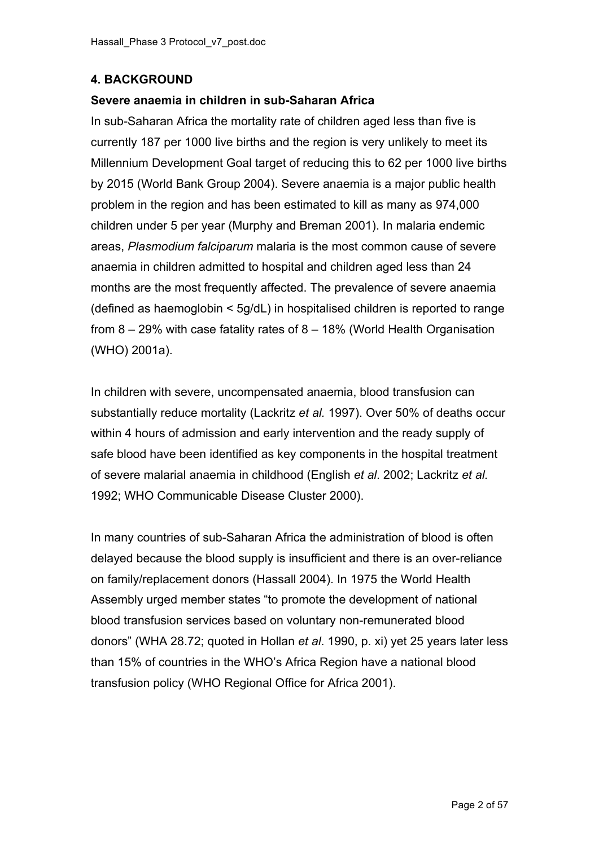# **4. BACKGROUND**

## **Severe anaemia in children in sub-Saharan Africa**

In sub-Saharan Africa the mortality rate of children aged less than five is currently 187 per 1000 live births and the region is very unlikely to meet its Millennium Development Goal target of reducing this to 62 per 1000 live births by 2015 (World Bank Group 2004). Severe anaemia is a major public health problem in the region and has been estimated to kill as many as 974,000 children under 5 per year (Murphy and Breman 2001). In malaria endemic areas, *Plasmodium falciparum* malaria is the most common cause of severe anaemia in children admitted to hospital and children aged less than 24 months are the most frequently affected. The prevalence of severe anaemia (defined as haemoglobin < 5g/dL) in hospitalised children is reported to range from 8 – 29% with case fatality rates of 8 – 18% (World Health Organisation (WHO) 2001a).

In children with severe, uncompensated anaemia, blood transfusion can substantially reduce mortality (Lackritz *et al.* 1997). Over 50% of deaths occur within 4 hours of admission and early intervention and the ready supply of safe blood have been identified as key components in the hospital treatment of severe malarial anaemia in childhood (English *et al*. 2002; Lackritz *et al.* 1992; WHO Communicable Disease Cluster 2000).

In many countries of sub-Saharan Africa the administration of blood is often delayed because the blood supply is insufficient and there is an over-reliance on family/replacement donors (Hassall 2004). In 1975 the World Health Assembly urged member states "to promote the development of national blood transfusion services based on voluntary non-remunerated blood donors" (WHA 28.72; quoted in Hollan *et al*. 1990, p. xi) yet 25 years later less than 15% of countries in the WHO's Africa Region have a national blood transfusion policy (WHO Regional Office for Africa 2001).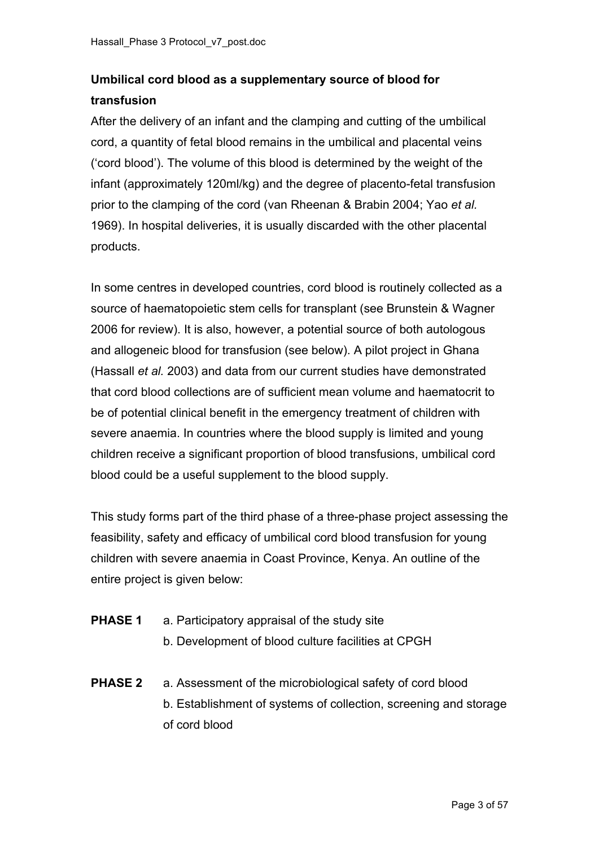# **Umbilical cord blood as a supplementary source of blood for transfusion**

After the delivery of an infant and the clamping and cutting of the umbilical cord, a quantity of fetal blood remains in the umbilical and placental veins ('cord blood'). The volume of this blood is determined by the weight of the infant (approximately 120ml/kg) and the degree of placento-fetal transfusion prior to the clamping of the cord (van Rheenan & Brabin 2004; Yao *et al.*  1969). In hospital deliveries, it is usually discarded with the other placental products.

In some centres in developed countries, cord blood is routinely collected as a source of haematopoietic stem cells for transplant (see Brunstein & Wagner 2006 for review). It is also, however, a potential source of both autologous and allogeneic blood for transfusion (see below). A pilot project in Ghana (Hassall *et al.* 2003) and data from our current studies have demonstrated that cord blood collections are of sufficient mean volume and haematocrit to be of potential clinical benefit in the emergency treatment of children with severe anaemia. In countries where the blood supply is limited and young children receive a significant proportion of blood transfusions, umbilical cord blood could be a useful supplement to the blood supply.

This study forms part of the third phase of a three-phase project assessing the feasibility, safety and efficacy of umbilical cord blood transfusion for young children with severe anaemia in Coast Province, Kenya. An outline of the entire project is given below:

- **PHASE 1** a. Participatory appraisal of the study site
	- b. Development of blood culture facilities at CPGH
- **PHASE 2** a. Assessment of the microbiological safety of cord blood b. Establishment of systems of collection, screening and storage of cord blood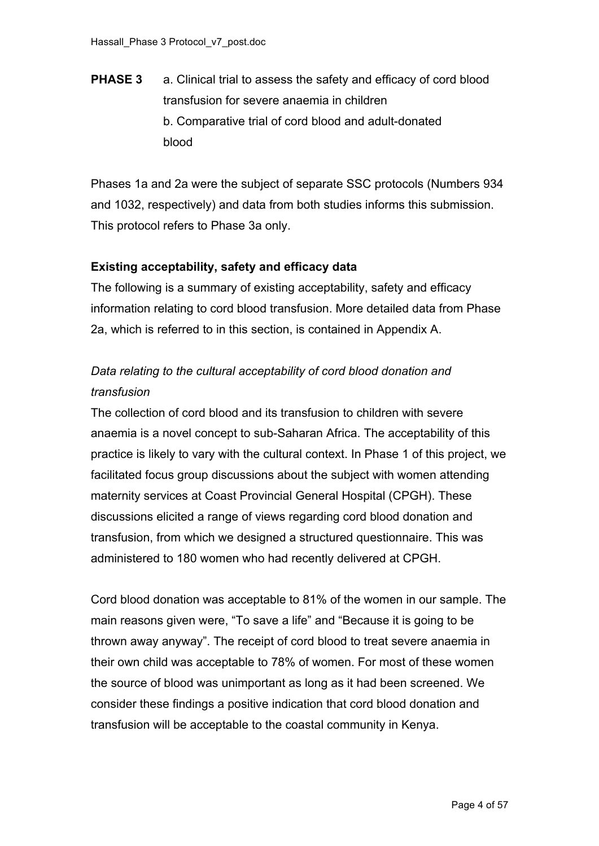**PHASE 3** a. Clinical trial to assess the safety and efficacy of cord blood transfusion for severe anaemia in children b. Comparative trial of cord blood and adult-donated blood

Phases 1a and 2a were the subject of separate SSC protocols (Numbers 934 and 1032, respectively) and data from both studies informs this submission. This protocol refers to Phase 3a only.

### **Existing acceptability, safety and efficacy data**

The following is a summary of existing acceptability, safety and efficacy information relating to cord blood transfusion. More detailed data from Phase 2a, which is referred to in this section, is contained in Appendix A.

# *Data relating to the cultural acceptability of cord blood donation and transfusion*

The collection of cord blood and its transfusion to children with severe anaemia is a novel concept to sub-Saharan Africa. The acceptability of this practice is likely to vary with the cultural context. In Phase 1 of this project, we facilitated focus group discussions about the subject with women attending maternity services at Coast Provincial General Hospital (CPGH). These discussions elicited a range of views regarding cord blood donation and transfusion, from which we designed a structured questionnaire. This was administered to 180 women who had recently delivered at CPGH.

Cord blood donation was acceptable to 81% of the women in our sample. The main reasons given were, "To save a life" and "Because it is going to be thrown away anyway". The receipt of cord blood to treat severe anaemia in their own child was acceptable to 78% of women. For most of these women the source of blood was unimportant as long as it had been screened. We consider these findings a positive indication that cord blood donation and transfusion will be acceptable to the coastal community in Kenya.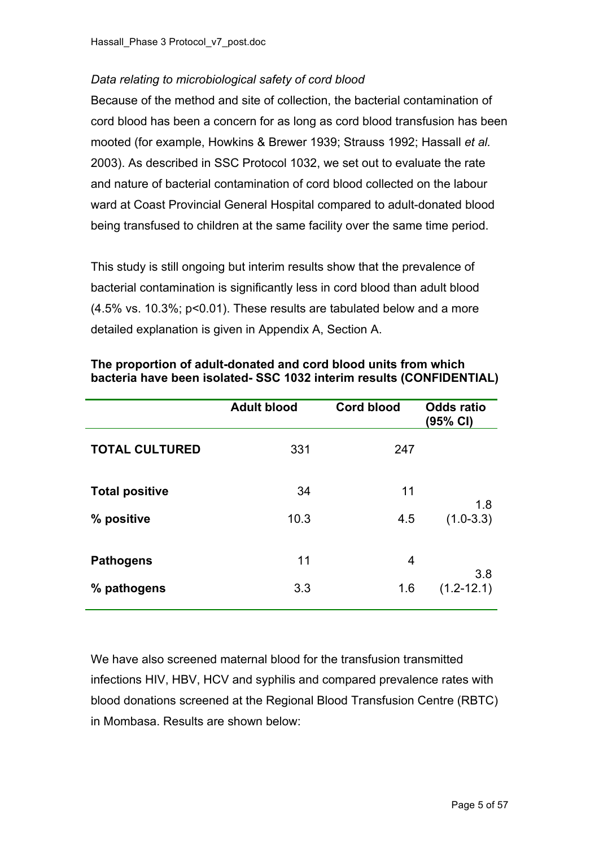# *Data relating to microbiological safety of cord blood*

Because of the method and site of collection, the bacterial contamination of cord blood has been a concern for as long as cord blood transfusion has been mooted (for example, Howkins & Brewer 1939; Strauss 1992; Hassall *et al.*  2003). As described in SSC Protocol 1032, we set out to evaluate the rate and nature of bacterial contamination of cord blood collected on the labour ward at Coast Provincial General Hospital compared to adult-donated blood being transfused to children at the same facility over the same time period.

This study is still ongoing but interim results show that the prevalence of bacterial contamination is significantly less in cord blood than adult blood (4.5% vs. 10.3%; p<0.01). These results are tabulated below and a more detailed explanation is given in Appendix A, Section A.

|                       | <b>Adult blood</b> | <b>Cord blood</b> | <b>Odds ratio</b><br>(95% CI) |
|-----------------------|--------------------|-------------------|-------------------------------|
| <b>TOTAL CULTURED</b> | 331                | 247               |                               |
| <b>Total positive</b> | 34                 | 11                |                               |
| % positive            | 10.3               | 4.5               | 1.8<br>$(1.0 - 3.3)$          |
|                       |                    |                   |                               |
| <b>Pathogens</b>      | 11                 | 4                 | 3.8                           |
| % pathogens           | 3.3                | 1.6               | $(1.2 - 12.1)$                |

### **The proportion of adult-donated and cord blood units from which bacteria have been isolated- SSC 1032 interim results (CONFIDENTIAL)**

We have also screened maternal blood for the transfusion transmitted infections HIV, HBV, HCV and syphilis and compared prevalence rates with blood donations screened at the Regional Blood Transfusion Centre (RBTC) in Mombasa. Results are shown below: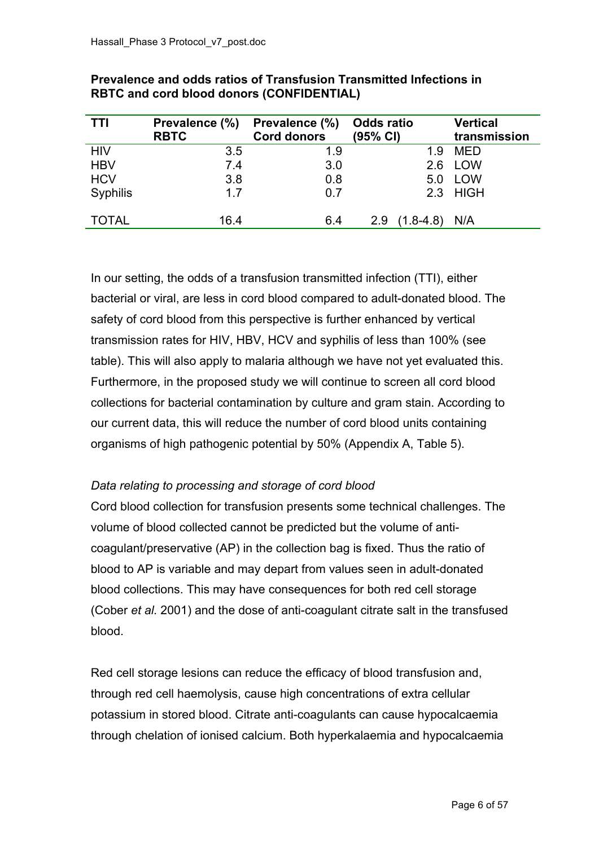| TTI          | Prevalence (%)<br><b>RBTC</b> | Prevalence (%)<br><b>Cord donors</b> | <b>Odds ratio</b><br>(95% CI) | <b>Vertical</b><br>transmission |
|--------------|-------------------------------|--------------------------------------|-------------------------------|---------------------------------|
| <b>HIV</b>   | 3.5                           | 1.9                                  | 1.9                           | <b>MED</b>                      |
| <b>HBV</b>   | 7.4                           | 3.0                                  | 2.6                           | LOW                             |
| <b>HCV</b>   | 3.8                           | 0.8                                  | 5.0                           | LOW                             |
| Syphilis     | 1.7                           | 0.7                                  |                               | 2.3 HIGH                        |
| <b>TOTAL</b> | 16.4                          | 6.4                                  | $(1.8 - 4.8)$<br>2.9          | N/A                             |

### **Prevalence and odds ratios of Transfusion Transmitted Infections in RBTC and cord blood donors (CONFIDENTIAL)**

In our setting, the odds of a transfusion transmitted infection (TTI), either bacterial or viral, are less in cord blood compared to adult-donated blood. The safety of cord blood from this perspective is further enhanced by vertical transmission rates for HIV, HBV, HCV and syphilis of less than 100% (see table). This will also apply to malaria although we have not yet evaluated this. Furthermore, in the proposed study we will continue to screen all cord blood collections for bacterial contamination by culture and gram stain. According to our current data, this will reduce the number of cord blood units containing organisms of high pathogenic potential by 50% (Appendix A, Table 5).

# *Data relating to processing and storage of cord blood*

Cord blood collection for transfusion presents some technical challenges. The volume of blood collected cannot be predicted but the volume of anticoagulant/preservative (AP) in the collection bag is fixed. Thus the ratio of blood to AP is variable and may depart from values seen in adult-donated blood collections. This may have consequences for both red cell storage (Cober *et al.* 2001) and the dose of anti-coagulant citrate salt in the transfused blood.

Red cell storage lesions can reduce the efficacy of blood transfusion and, through red cell haemolysis, cause high concentrations of extra cellular potassium in stored blood. Citrate anti-coagulants can cause hypocalcaemia through chelation of ionised calcium. Both hyperkalaemia and hypocalcaemia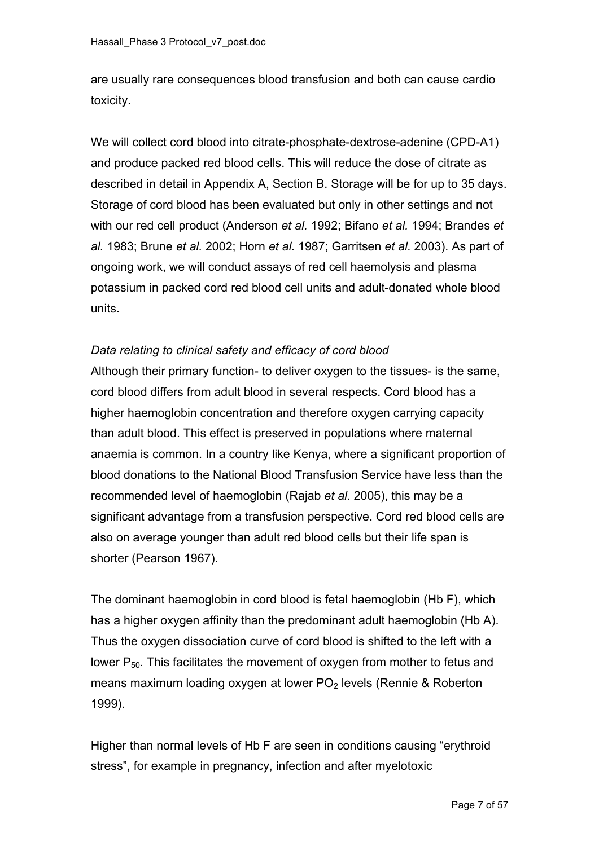are usually rare consequences blood transfusion and both can cause cardio toxicity.

We will collect cord blood into citrate-phosphate-dextrose-adenine (CPD-A1) and produce packed red blood cells. This will reduce the dose of citrate as described in detail in Appendix A, Section B. Storage will be for up to 35 days. Storage of cord blood has been evaluated but only in other settings and not with our red cell product (Anderson *et al.* 1992; Bifano *et al.* 1994; Brandes *et al.* 1983; Brune *et al.* 2002; Horn *et al.* 1987; Garritsen *et al.* 2003). As part of ongoing work, we will conduct assays of red cell haemolysis and plasma potassium in packed cord red blood cell units and adult-donated whole blood units.

### *Data relating to clinical safety and efficacy of cord blood*

Although their primary function- to deliver oxygen to the tissues- is the same, cord blood differs from adult blood in several respects. Cord blood has a higher haemoglobin concentration and therefore oxygen carrying capacity than adult blood. This effect is preserved in populations where maternal anaemia is common. In a country like Kenya, where a significant proportion of blood donations to the National Blood Transfusion Service have less than the recommended level of haemoglobin (Rajab *et al.* 2005), this may be a significant advantage from a transfusion perspective. Cord red blood cells are also on average younger than adult red blood cells but their life span is shorter (Pearson 1967).

The dominant haemoglobin in cord blood is fetal haemoglobin (Hb F), which has a higher oxygen affinity than the predominant adult haemoglobin (Hb A). Thus the oxygen dissociation curve of cord blood is shifted to the left with a lower  $P_{50}$ . This facilitates the movement of oxygen from mother to fetus and means maximum loading oxygen at lower PO<sub>2</sub> levels (Rennie & Roberton 1999).

Higher than normal levels of Hb F are seen in conditions causing "erythroid stress", for example in pregnancy, infection and after myelotoxic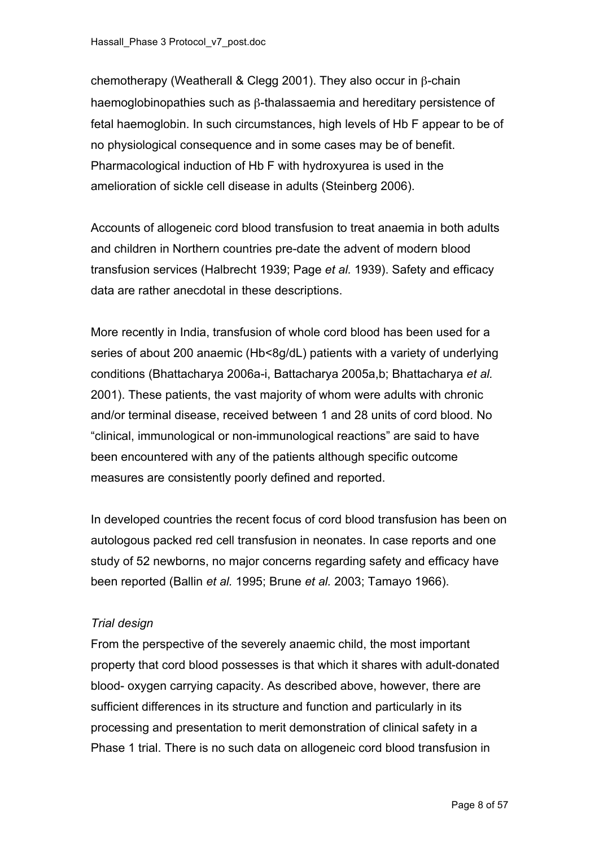chemotherapy (Weatherall & Clegg 2001). They also occur in β-chain haemoglobinopathies such as β-thalassaemia and hereditary persistence of fetal haemoglobin. In such circumstances, high levels of Hb F appear to be of no physiological consequence and in some cases may be of benefit. Pharmacological induction of Hb F with hydroxyurea is used in the amelioration of sickle cell disease in adults (Steinberg 2006).

Accounts of allogeneic cord blood transfusion to treat anaemia in both adults and children in Northern countries pre-date the advent of modern blood transfusion services (Halbrecht 1939; Page *et al.* 1939). Safety and efficacy data are rather anecdotal in these descriptions.

More recently in India, transfusion of whole cord blood has been used for a series of about 200 anaemic (Hb<8g/dL) patients with a variety of underlying conditions (Bhattacharya 2006a-i, Battacharya 2005a,b; Bhattacharya *et al.*  2001). These patients, the vast majority of whom were adults with chronic and/or terminal disease, received between 1 and 28 units of cord blood. No "clinical, immunological or non-immunological reactions" are said to have been encountered with any of the patients although specific outcome measures are consistently poorly defined and reported.

In developed countries the recent focus of cord blood transfusion has been on autologous packed red cell transfusion in neonates. In case reports and one study of 52 newborns, no major concerns regarding safety and efficacy have been reported (Ballin *et al.* 1995; Brune *et al.* 2003; Tamayo 1966).

#### *Trial design*

From the perspective of the severely anaemic child, the most important property that cord blood possesses is that which it shares with adult-donated blood- oxygen carrying capacity. As described above, however, there are sufficient differences in its structure and function and particularly in its processing and presentation to merit demonstration of clinical safety in a Phase 1 trial. There is no such data on allogeneic cord blood transfusion in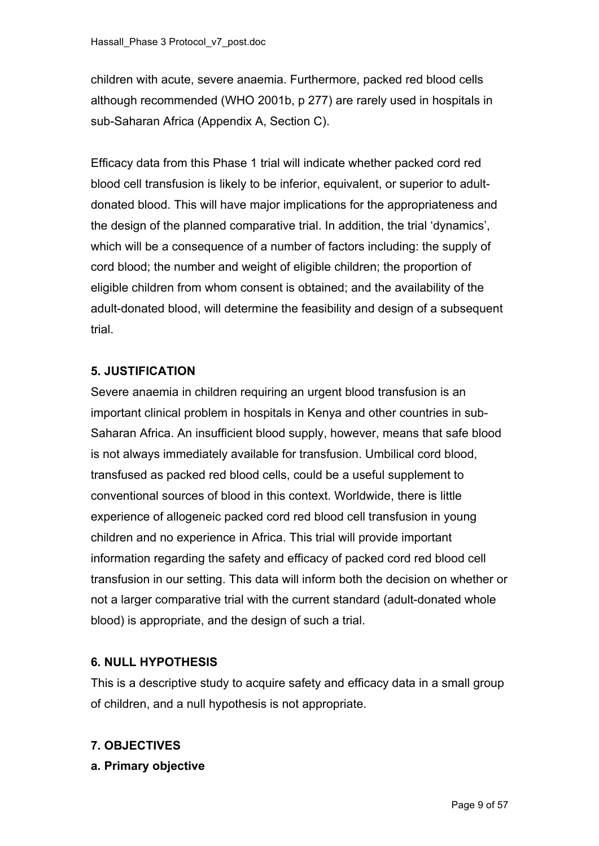children with acute, severe anaemia. Furthermore, packed red blood cells although recommended (WHO 2001b, p 277) are rarely used in hospitals in sub-Saharan Africa (Appendix A, Section C).

Efficacy data from this Phase 1 trial will indicate whether packed cord red blood cell transfusion is likely to be inferior, equivalent, or superior to adultdonated blood. This will have major implications for the appropriateness and the design of the planned comparative trial. In addition, the trial 'dynamics', which will be a consequence of a number of factors including: the supply of cord blood; the number and weight of eligible children; the proportion of eligible children from whom consent is obtained; and the availability of the adult-donated blood, will determine the feasibility and design of a subsequent trial.

# **5. JUSTIFICATION**

Severe anaemia in children requiring an urgent blood transfusion is an important clinical problem in hospitals in Kenya and other countries in sub-Saharan Africa. An insufficient blood supply, however, means that safe blood is not always immediately available for transfusion. Umbilical cord blood, transfused as packed red blood cells, could be a useful supplement to conventional sources of blood in this context. Worldwide, there is little experience of allogeneic packed cord red blood cell transfusion in young children and no experience in Africa. This trial will provide important information regarding the safety and efficacy of packed cord red blood cell transfusion in our setting. This data will inform both the decision on whether or not a larger comparative trial with the current standard (adult-donated whole blood) is appropriate, and the design of such a trial.

# **6. NULL HYPOTHESIS**

This is a descriptive study to acquire safety and efficacy data in a small group of children, and a null hypothesis is not appropriate.

# **7. OBJECTIVES**

**a. Primary objective**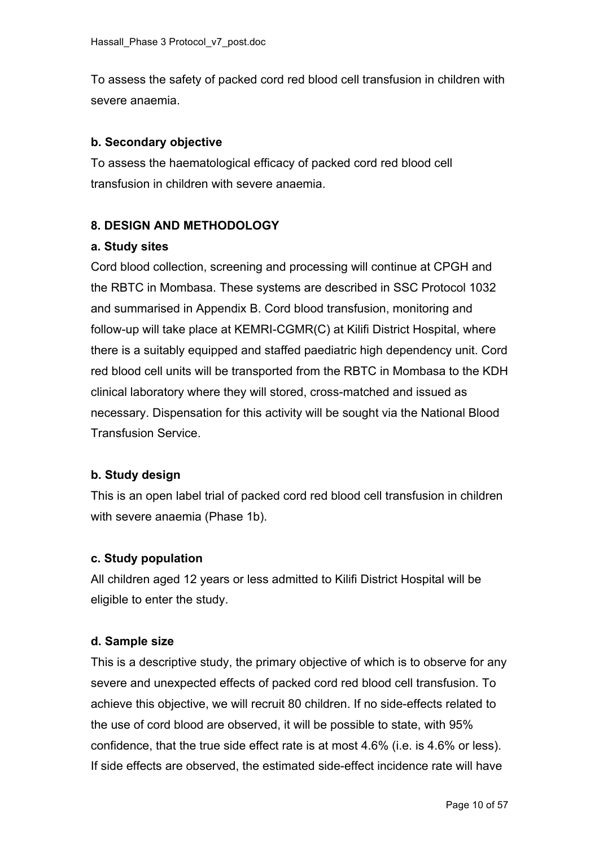To assess the safety of packed cord red blood cell transfusion in children with severe anaemia.

# **b. Secondary objective**

To assess the haematological efficacy of packed cord red blood cell transfusion in children with severe anaemia.

# **8. DESIGN AND METHODOLOGY**

## **a. Study sites**

Cord blood collection, screening and processing will continue at CPGH and the RBTC in Mombasa. These systems are described in SSC Protocol 1032 and summarised in Appendix B. Cord blood transfusion, monitoring and follow-up will take place at KEMRI-CGMR(C) at Kilifi District Hospital, where there is a suitably equipped and staffed paediatric high dependency unit. Cord red blood cell units will be transported from the RBTC in Mombasa to the KDH clinical laboratory where they will stored, cross-matched and issued as necessary. Dispensation for this activity will be sought via the National Blood Transfusion Service.

# **b. Study design**

This is an open label trial of packed cord red blood cell transfusion in children with severe anaemia (Phase 1b).

# **c. Study population**

All children aged 12 years or less admitted to Kilifi District Hospital will be eligible to enter the study.

### **d. Sample size**

This is a descriptive study, the primary objective of which is to observe for any severe and unexpected effects of packed cord red blood cell transfusion. To achieve this objective, we will recruit 80 children. If no side-effects related to the use of cord blood are observed, it will be possible to state, with 95% confidence, that the true side effect rate is at most 4.6% (i.e. is 4.6% or less). If side effects are observed, the estimated side-effect incidence rate will have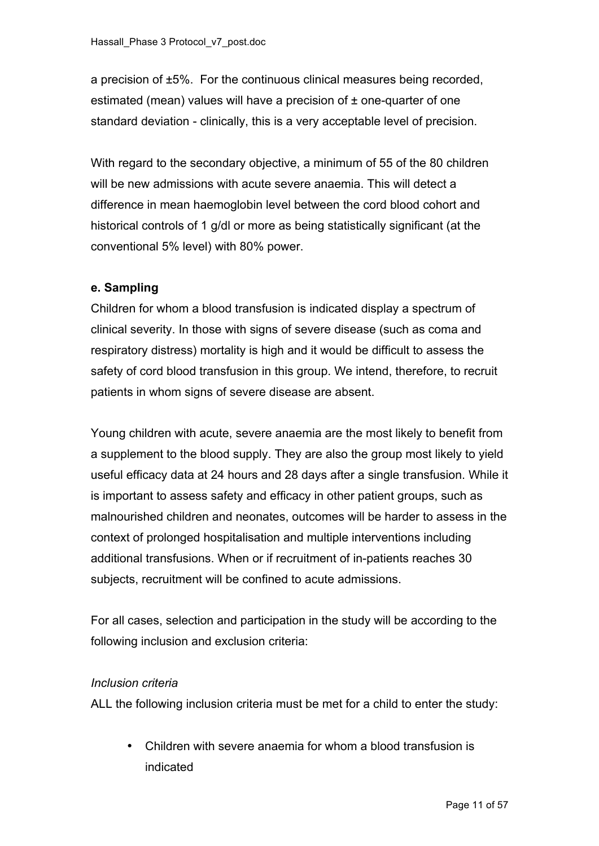a precision of ±5%. For the continuous clinical measures being recorded, estimated (mean) values will have a precision of  $\pm$  one-quarter of one standard deviation - clinically, this is a very acceptable level of precision.

With regard to the secondary objective, a minimum of 55 of the 80 children will be new admissions with acute severe anaemia. This will detect a difference in mean haemoglobin level between the cord blood cohort and historical controls of 1 g/dl or more as being statistically significant (at the conventional 5% level) with 80% power.

# **e. Sampling**

Children for whom a blood transfusion is indicated display a spectrum of clinical severity. In those with signs of severe disease (such as coma and respiratory distress) mortality is high and it would be difficult to assess the safety of cord blood transfusion in this group. We intend, therefore, to recruit patients in whom signs of severe disease are absent.

Young children with acute, severe anaemia are the most likely to benefit from a supplement to the blood supply. They are also the group most likely to yield useful efficacy data at 24 hours and 28 days after a single transfusion. While it is important to assess safety and efficacy in other patient groups, such as malnourished children and neonates, outcomes will be harder to assess in the context of prolonged hospitalisation and multiple interventions including additional transfusions. When or if recruitment of in-patients reaches 30 subjects, recruitment will be confined to acute admissions.

For all cases, selection and participation in the study will be according to the following inclusion and exclusion criteria:

# *Inclusion criteria*

ALL the following inclusion criteria must be met for a child to enter the study:

• Children with severe anaemia for whom a blood transfusion is indicated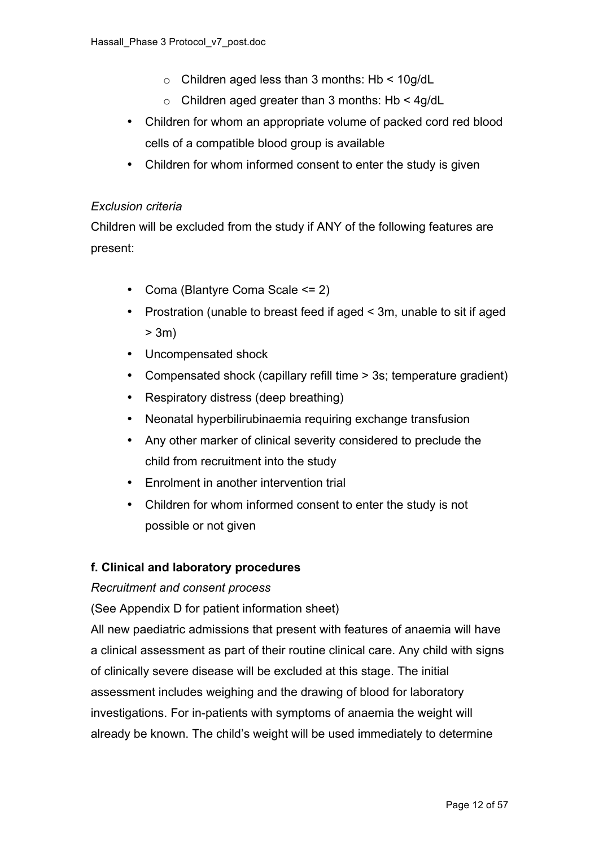- $\circ$  Children aged less than 3 months: Hb < 10g/dL
- $\circ$  Children aged greater than 3 months: Hb < 4g/dL
- Children for whom an appropriate volume of packed cord red blood cells of a compatible blood group is available
- Children for whom informed consent to enter the study is given

### *Exclusion criteria*

Children will be excluded from the study if ANY of the following features are present:

- Coma (Blantyre Coma Scale <= 2)
- Prostration (unable to breast feed if aged < 3m, unable to sit if aged > 3m)
- Uncompensated shock
- Compensated shock (capillary refill time > 3s; temperature gradient)
- Respiratory distress (deep breathing)
- Neonatal hyperbilirubinaemia requiring exchange transfusion
- Any other marker of clinical severity considered to preclude the child from recruitment into the study
- Enrolment in another intervention trial
- Children for whom informed consent to enter the study is not possible or not given

### **f. Clinical and laboratory procedures**

### *Recruitment and consent process*

(See Appendix D for patient information sheet)

All new paediatric admissions that present with features of anaemia will have a clinical assessment as part of their routine clinical care. Any child with signs of clinically severe disease will be excluded at this stage. The initial assessment includes weighing and the drawing of blood for laboratory investigations. For in-patients with symptoms of anaemia the weight will already be known. The child's weight will be used immediately to determine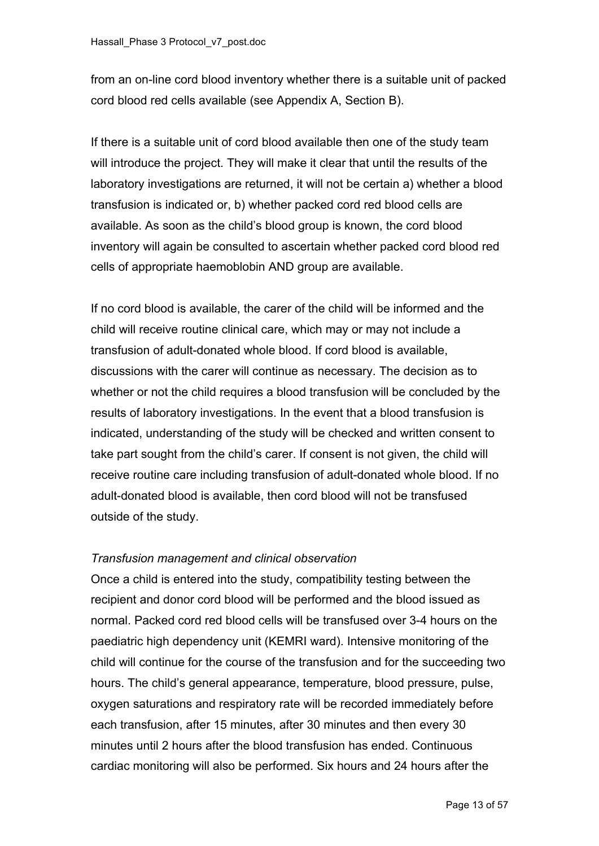from an on-line cord blood inventory whether there is a suitable unit of packed cord blood red cells available (see Appendix A, Section B).

If there is a suitable unit of cord blood available then one of the study team will introduce the project. They will make it clear that until the results of the laboratory investigations are returned, it will not be certain a) whether a blood transfusion is indicated or, b) whether packed cord red blood cells are available. As soon as the child's blood group is known, the cord blood inventory will again be consulted to ascertain whether packed cord blood red cells of appropriate haemoblobin AND group are available.

If no cord blood is available, the carer of the child will be informed and the child will receive routine clinical care, which may or may not include a transfusion of adult-donated whole blood. If cord blood is available, discussions with the carer will continue as necessary. The decision as to whether or not the child requires a blood transfusion will be concluded by the results of laboratory investigations. In the event that a blood transfusion is indicated, understanding of the study will be checked and written consent to take part sought from the child's carer. If consent is not given, the child will receive routine care including transfusion of adult-donated whole blood. If no adult-donated blood is available, then cord blood will not be transfused outside of the study.

### *Transfusion management and clinical observation*

Once a child is entered into the study, compatibility testing between the recipient and donor cord blood will be performed and the blood issued as normal. Packed cord red blood cells will be transfused over 3-4 hours on the paediatric high dependency unit (KEMRI ward). Intensive monitoring of the child will continue for the course of the transfusion and for the succeeding two hours. The child's general appearance, temperature, blood pressure, pulse, oxygen saturations and respiratory rate will be recorded immediately before each transfusion, after 15 minutes, after 30 minutes and then every 30 minutes until 2 hours after the blood transfusion has ended. Continuous cardiac monitoring will also be performed. Six hours and 24 hours after the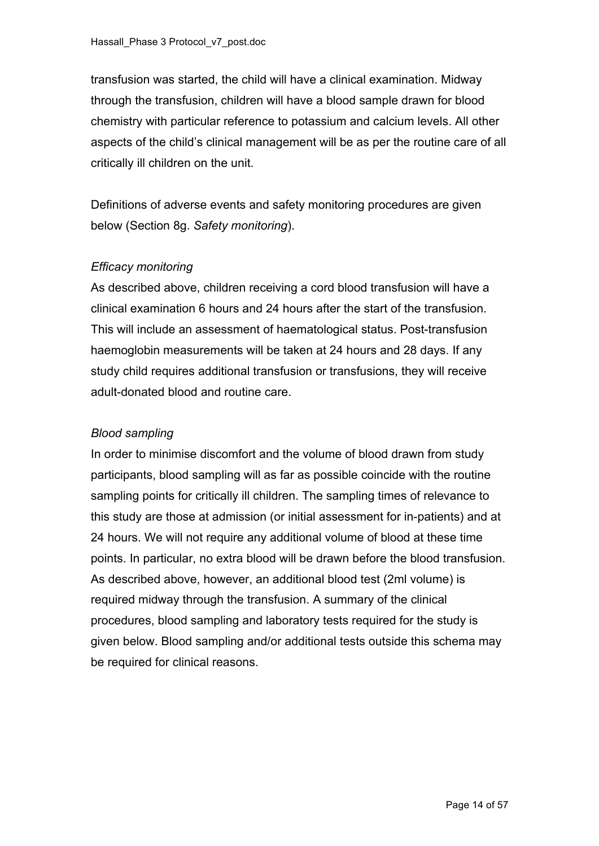transfusion was started, the child will have a clinical examination. Midway through the transfusion, children will have a blood sample drawn for blood chemistry with particular reference to potassium and calcium levels. All other aspects of the child's clinical management will be as per the routine care of all critically ill children on the unit.

Definitions of adverse events and safety monitoring procedures are given below (Section 8g. *Safety monitoring*).

### *Efficacy monitoring*

As described above, children receiving a cord blood transfusion will have a clinical examination 6 hours and 24 hours after the start of the transfusion. This will include an assessment of haematological status. Post-transfusion haemoglobin measurements will be taken at 24 hours and 28 days. If any study child requires additional transfusion or transfusions, they will receive adult-donated blood and routine care.

### *Blood sampling*

In order to minimise discomfort and the volume of blood drawn from study participants, blood sampling will as far as possible coincide with the routine sampling points for critically ill children. The sampling times of relevance to this study are those at admission (or initial assessment for in-patients) and at 24 hours. We will not require any additional volume of blood at these time points. In particular, no extra blood will be drawn before the blood transfusion. As described above, however, an additional blood test (2ml volume) is required midway through the transfusion. A summary of the clinical procedures, blood sampling and laboratory tests required for the study is given below. Blood sampling and/or additional tests outside this schema may be required for clinical reasons.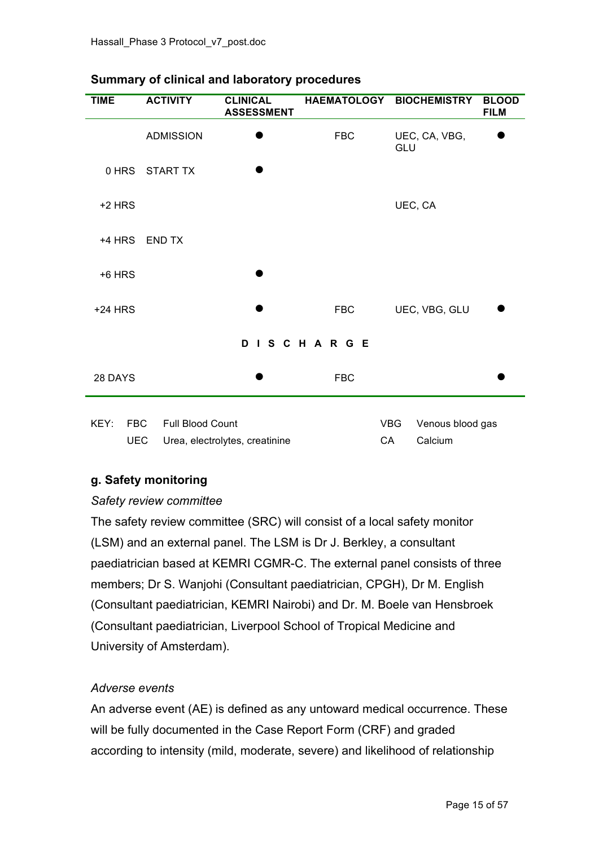| <b>TIME</b>        | <b>ACTIVITY</b>                | <b>CLINICAL</b><br><b>ASSESSMENT</b> |                | HAEMATOLOGY BIOCHEMISTRY                        | <b>BLOOD</b><br><b>FILM</b> |
|--------------------|--------------------------------|--------------------------------------|----------------|-------------------------------------------------|-----------------------------|
|                    | <b>ADMISSION</b>               |                                      | <b>FBC</b>     | UEC, CA, VBG,<br>GLU                            |                             |
| 0 HRS              | <b>START TX</b>                |                                      |                |                                                 |                             |
| $+2$ HRS           |                                |                                      |                | UEC, CA                                         |                             |
| +4 HRS             | <b>END TX</b>                  |                                      |                |                                                 |                             |
| +6 HRS             |                                |                                      |                |                                                 |                             |
| +24 HRS            |                                |                                      | <b>FBC</b>     | UEC, VBG, GLU                                   |                             |
|                    |                                | D.<br>$\mathbf{L}$                   | <b>SCHARGE</b> |                                                 |                             |
| 28 DAYS            |                                |                                      | <b>FBC</b>     |                                                 |                             |
| KEY:<br><b>FBC</b> | Full Blood Count<br><b>UEC</b> | Urea, electrolytes, creatinine       |                | <b>VBG</b><br>Venous blood gas<br>Calcium<br>CA |                             |

#### **Summary of clinical and laboratory procedures**

### **g. Safety monitoring**

### *Safety review committee*

The safety review committee (SRC) will consist of a local safety monitor (LSM) and an external panel. The LSM is Dr J. Berkley, a consultant paediatrician based at KEMRI CGMR-C. The external panel consists of three members; Dr S. Wanjohi (Consultant paediatrician, CPGH), Dr M. English (Consultant paediatrician, KEMRI Nairobi) and Dr. M. Boele van Hensbroek (Consultant paediatrician, Liverpool School of Tropical Medicine and University of Amsterdam).

### *Adverse events*

An adverse event (AE) is defined as any untoward medical occurrence. These will be fully documented in the Case Report Form (CRF) and graded according to intensity (mild, moderate, severe) and likelihood of relationship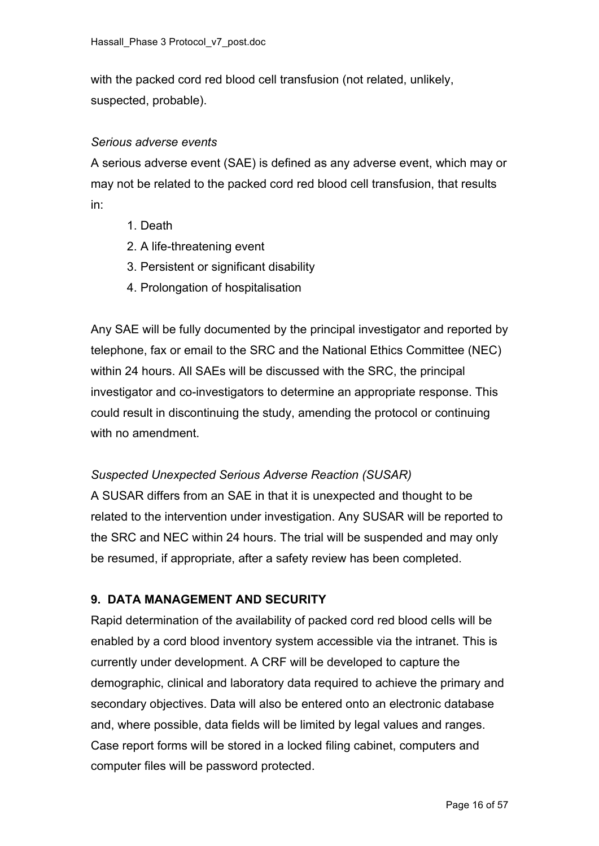with the packed cord red blood cell transfusion (not related, unlikely, suspected, probable).

## *Serious adverse events*

A serious adverse event (SAE) is defined as any adverse event, which may or may not be related to the packed cord red blood cell transfusion, that results in:

- 1. Death
- 2. A life-threatening event
- 3. Persistent or significant disability
- 4. Prolongation of hospitalisation

Any SAE will be fully documented by the principal investigator and reported by telephone, fax or email to the SRC and the National Ethics Committee (NEC) within 24 hours. All SAEs will be discussed with the SRC, the principal investigator and co-investigators to determine an appropriate response. This could result in discontinuing the study, amending the protocol or continuing with no amendment.

# *Suspected Unexpected Serious Adverse Reaction (SUSAR)*

A SUSAR differs from an SAE in that it is unexpected and thought to be related to the intervention under investigation. Any SUSAR will be reported to the SRC and NEC within 24 hours. The trial will be suspended and may only be resumed, if appropriate, after a safety review has been completed.

# **9. DATA MANAGEMENT AND SECURITY**

Rapid determination of the availability of packed cord red blood cells will be enabled by a cord blood inventory system accessible via the intranet. This is currently under development. A CRF will be developed to capture the demographic, clinical and laboratory data required to achieve the primary and secondary objectives. Data will also be entered onto an electronic database and, where possible, data fields will be limited by legal values and ranges. Case report forms will be stored in a locked filing cabinet, computers and computer files will be password protected.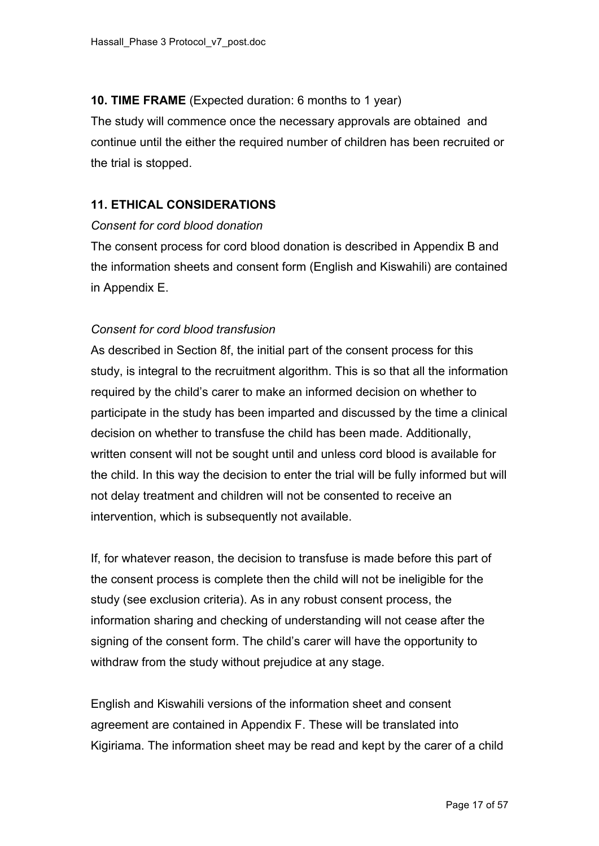## **10. TIME FRAME** (Expected duration: 6 months to 1 year)

The study will commence once the necessary approvals are obtained and continue until the either the required number of children has been recruited or the trial is stopped.

# **11. ETHICAL CONSIDERATIONS**

## *Consent for cord blood donation*

The consent process for cord blood donation is described in Appendix B and the information sheets and consent form (English and Kiswahili) are contained in Appendix E.

### *Consent for cord blood transfusion*

As described in Section 8f, the initial part of the consent process for this study, is integral to the recruitment algorithm. This is so that all the information required by the child's carer to make an informed decision on whether to participate in the study has been imparted and discussed by the time a clinical decision on whether to transfuse the child has been made. Additionally, written consent will not be sought until and unless cord blood is available for the child. In this way the decision to enter the trial will be fully informed but will not delay treatment and children will not be consented to receive an intervention, which is subsequently not available.

If, for whatever reason, the decision to transfuse is made before this part of the consent process is complete then the child will not be ineligible for the study (see exclusion criteria). As in any robust consent process, the information sharing and checking of understanding will not cease after the signing of the consent form. The child's carer will have the opportunity to withdraw from the study without prejudice at any stage.

English and Kiswahili versions of the information sheet and consent agreement are contained in Appendix F. These will be translated into Kigiriama. The information sheet may be read and kept by the carer of a child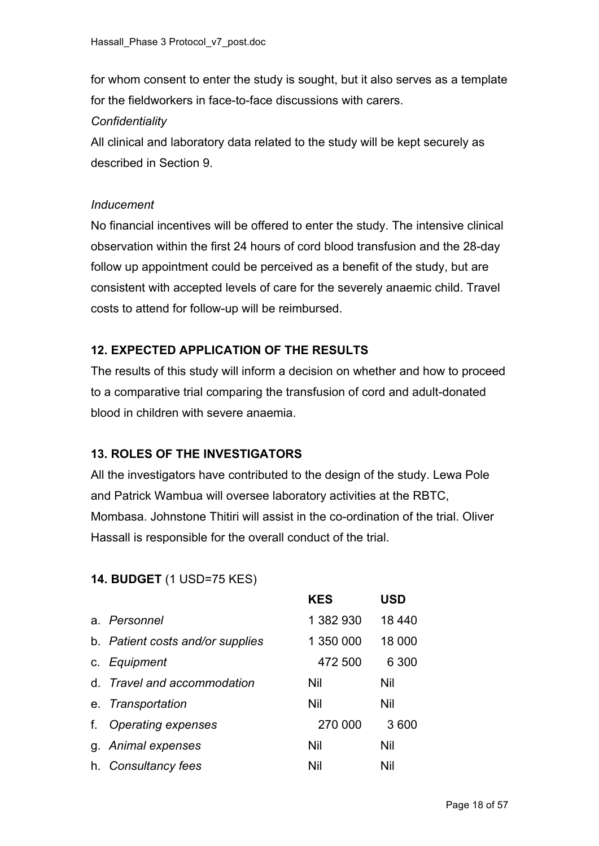for whom consent to enter the study is sought, but it also serves as a template for the fieldworkers in face-to-face discussions with carers.

# *Confidentiality*

All clinical and laboratory data related to the study will be kept securely as described in Section 9.

# *Inducement*

No financial incentives will be offered to enter the study. The intensive clinical observation within the first 24 hours of cord blood transfusion and the 28-day follow up appointment could be perceived as a benefit of the study, but are consistent with accepted levels of care for the severely anaemic child. Travel costs to attend for follow-up will be reimbursed.

# **12. EXPECTED APPLICATION OF THE RESULTS**

The results of this study will inform a decision on whether and how to proceed to a comparative trial comparing the transfusion of cord and adult-donated blood in children with severe anaemia.

# **13. ROLES OF THE INVESTIGATORS**

All the investigators have contributed to the design of the study. Lewa Pole and Patrick Wambua will oversee laboratory activities at the RBTC, Mombasa. Johnstone Thitiri will assist in the co-ordination of the trial. Oliver Hassall is responsible for the overall conduct of the trial.

# **14. BUDGET** (1 USD=75 KES)

|    |                                  | <b>KES</b> | <b>USD</b> |
|----|----------------------------------|------------|------------|
|    | a. Personnel                     | 1 382 930  | 18 440     |
|    | b. Patient costs and/or supplies | 1 350 000  | 18 000     |
|    | c. Equipment                     | 472 500    | 6 300      |
|    | d. Travel and accommodation      | Nil        | Nil        |
|    | e. Transportation                | Nil        | Nil        |
| f. | <b>Operating expenses</b>        | 270 000    | 3600       |
|    | g. Animal expenses               | Nil        | Nil        |
|    | h. Consultancy fees              | Nil        | Nil        |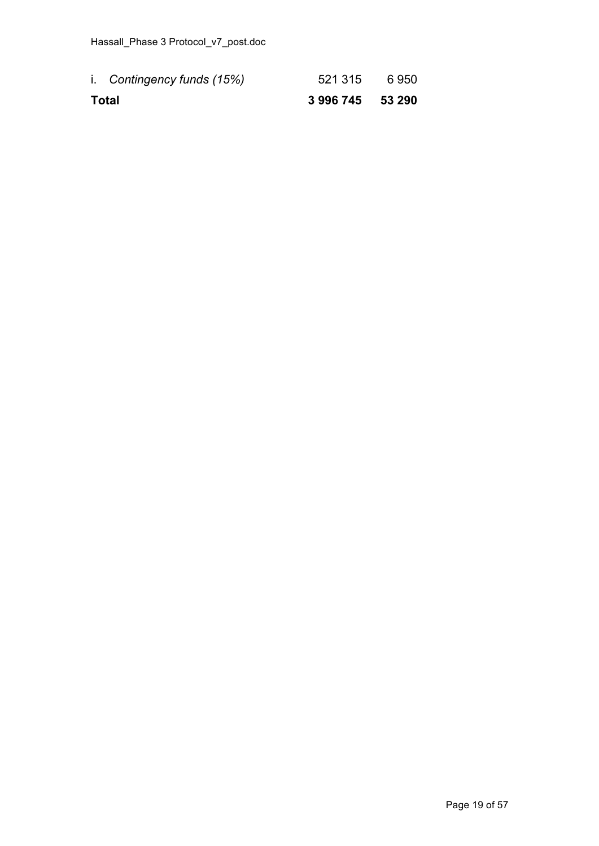| <b>Total</b>               | 3 996 745 53 290 |       |
|----------------------------|------------------|-------|
| i. Contingency funds (15%) | 521 315          | 6 950 |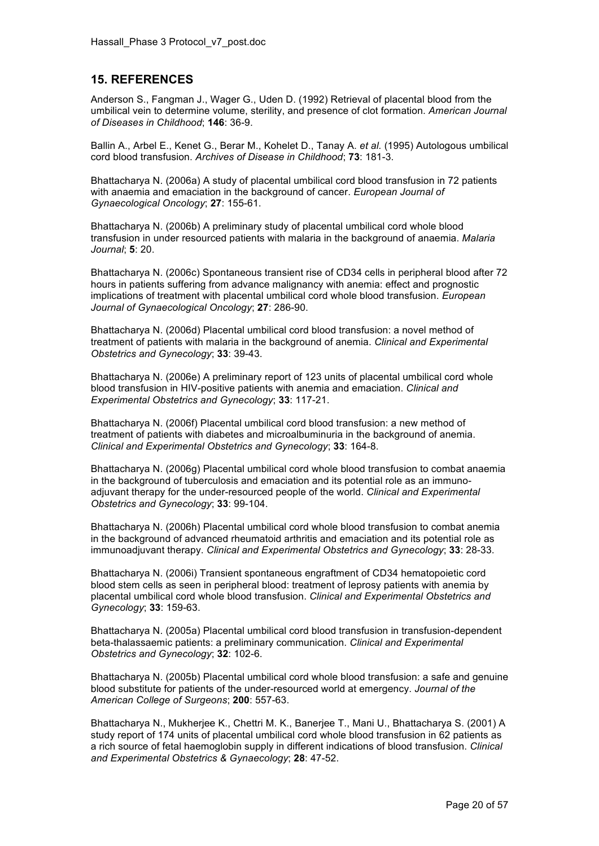## **15. REFERENCES**

Anderson S., Fangman J., Wager G., Uden D. (1992) Retrieval of placental blood from the umbilical vein to determine volume, sterility, and presence of clot formation. *American Journal of Diseases in Childhood*; **146**: 36-9.

Ballin A., Arbel E., Kenet G., Berar M., Kohelet D., Tanay A. *et al.* (1995) Autologous umbilical cord blood transfusion. *Archives of Disease in Childhood*; **73**: 181-3.

Bhattacharya N. (2006a) A study of placental umbilical cord blood transfusion in 72 patients with anaemia and emaciation in the background of cancer. *European Journal of Gynaecological Oncology*; **27**: 155-61.

Bhattacharya N. (2006b) A preliminary study of placental umbilical cord whole blood transfusion in under resourced patients with malaria in the background of anaemia. *Malaria Journal*; **5**: 20.

Bhattacharya N. (2006c) Spontaneous transient rise of CD34 cells in peripheral blood after 72 hours in patients suffering from advance malignancy with anemia: effect and prognostic implications of treatment with placental umbilical cord whole blood transfusion. *European Journal of Gynaecological Oncology*; **27**: 286-90.

Bhattacharya N. (2006d) Placental umbilical cord blood transfusion: a novel method of treatment of patients with malaria in the background of anemia. *Clinical and Experimental Obstetrics and Gynecology*; **33**: 39-43.

Bhattacharya N. (2006e) A preliminary report of 123 units of placental umbilical cord whole blood transfusion in HIV-positive patients with anemia and emaciation. *Clinical and Experimental Obstetrics and Gynecology*; **33**: 117-21.

Bhattacharya N. (2006f) Placental umbilical cord blood transfusion: a new method of treatment of patients with diabetes and microalbuminuria in the background of anemia. *Clinical and Experimental Obstetrics and Gynecology*; **33**: 164-8.

Bhattacharya N. (2006g) Placental umbilical cord whole blood transfusion to combat anaemia in the background of tuberculosis and emaciation and its potential role as an immunoadjuvant therapy for the under-resourced people of the world. *Clinical and Experimental Obstetrics and Gynecology*; **33**: 99-104.

Bhattacharya N. (2006h) Placental umbilical cord whole blood transfusion to combat anemia in the background of advanced rheumatoid arthritis and emaciation and its potential role as immunoadjuvant therapy. *Clinical and Experimental Obstetrics and Gynecology*; **33**: 28-33.

Bhattacharya N. (2006i) Transient spontaneous engraftment of CD34 hematopoietic cord blood stem cells as seen in peripheral blood: treatment of leprosy patients with anemia by placental umbilical cord whole blood transfusion. *Clinical and Experimental Obstetrics and Gynecology*; **33**: 159-63.

Bhattacharya N. (2005a) Placental umbilical cord blood transfusion in transfusion-dependent beta-thalassaemic patients: a preliminary communication. *Clinical and Experimental Obstetrics and Gynecology*; **32**: 102-6.

Bhattacharya N. (2005b) Placental umbilical cord whole blood transfusion: a safe and genuine blood substitute for patients of the under-resourced world at emergency. *Journal of the American College of Surgeons*; **200**: 557-63.

Bhattacharya N., Mukherjee K., Chettri M. K., Banerjee T., Mani U., Bhattacharya S. (2001) A study report of 174 units of placental umbilical cord whole blood transfusion in 62 patients as a rich source of fetal haemoglobin supply in different indications of blood transfusion. *Clinical and Experimental Obstetrics & Gynaecology*; **28**: 47-52.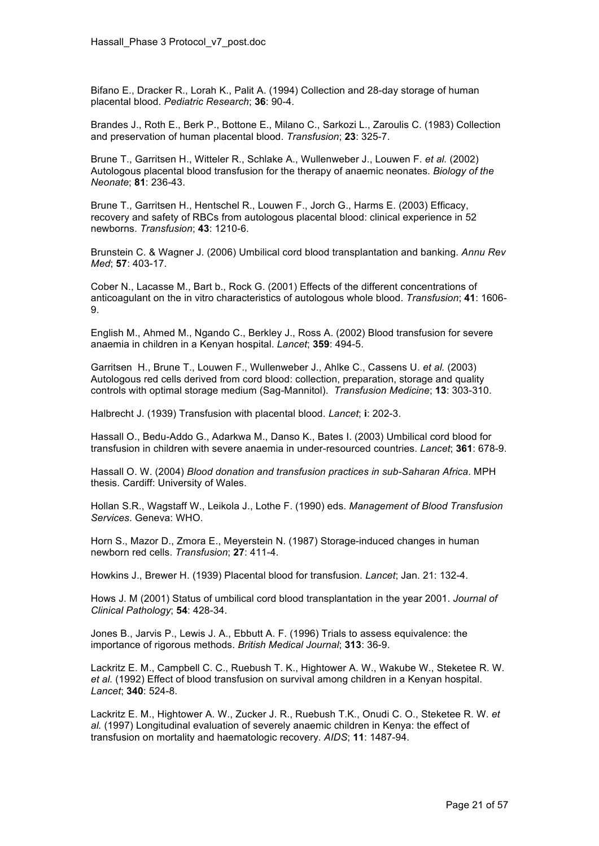Bifano E., Dracker R., Lorah K., Palit A. (1994) Collection and 28-day storage of human placental blood. *Pediatric Research*; **36**: 90-4.

Brandes J., Roth E., Berk P., Bottone E., Milano C., Sarkozi L., Zaroulis C. (1983) Collection and preservation of human placental blood. *Transfusion*; **23**: 325-7.

Brune T., Garritsen H., Witteler R., Schlake A., Wullenweber J., Louwen F. *et al.* (2002) Autologous placental blood transfusion for the therapy of anaemic neonates. *Biology of the Neonate*; **81**: 236-43.

Brune T., Garritsen H., Hentschel R., Louwen F., Jorch G., Harms E. (2003) Efficacy, recovery and safety of RBCs from autologous placental blood: clinical experience in 52 newborns. *Transfusion*; **43**: 1210-6.

Brunstein C. & Wagner J. (2006) Umbilical cord blood transplantation and banking. *Annu Rev Med*; **57**: 403-17.

Cober N., Lacasse M., Bart b., Rock G. (2001) Effects of the different concentrations of anticoagulant on the in vitro characteristics of autologous whole blood. *Transfusion*; **41**: 1606- 9.

English M., Ahmed M., Ngando C., Berkley J., Ross A. (2002) Blood transfusion for severe anaemia in children in a Kenyan hospital. *Lancet*; **359**: 494-5.

Garritsen H., Brune T., Louwen F., Wullenweber J., Ahlke C., Cassens U. *et al.* (2003) Autologous red cells derived from cord blood: collection, preparation, storage and quality controls with optimal storage medium (Sag-Mannitol). *Transfusion Medicine*; **13**: 303-310.

Halbrecht J. (1939) Transfusion with placental blood. *Lancet*; **i**: 202-3.

Hassall O., Bedu-Addo G., Adarkwa M., Danso K., Bates I. (2003) Umbilical cord blood for transfusion in children with severe anaemia in under-resourced countries. *Lancet*; **361**: 678-9.

Hassall O. W. (2004) *Blood donation and transfusion practices in sub-Saharan Africa*. MPH thesis. Cardiff: University of Wales.

Hollan S.R., Wagstaff W., Leikola J., Lothe F. (1990) eds. *Management of Blood Transfusion Services*. Geneva: WHO.

Horn S., Mazor D., Zmora E., Meyerstein N. (1987) Storage-induced changes in human newborn red cells. *Transfusion*; **27**: 411-4.

Howkins J., Brewer H. (1939) Placental blood for transfusion. *Lancet*; Jan. 21: 132-4.

Hows J. M (2001) Status of umbilical cord blood transplantation in the year 2001. *Journal of Clinical Pathology*; **54**: 428-34.

Jones B., Jarvis P., Lewis J. A., Ebbutt A. F. (1996) Trials to assess equivalence: the importance of rigorous methods. *British Medical Journal*; **313**: 36-9.

Lackritz E. M., Campbell C. C., Ruebush T. K., Hightower A. W., Wakube W., Steketee R. W. *et al.* (1992) Effect of blood transfusion on survival among children in a Kenyan hospital. *Lancet*; **340**: 524-8.

Lackritz E. M., Hightower A. W., Zucker J. R., Ruebush T.K., Onudi C. O., Steketee R. W. *et al.* (1997) Longitudinal evaluation of severely anaemic children in Kenya: the effect of transfusion on mortality and haematologic recovery. *AIDS*; **11**: 1487-94.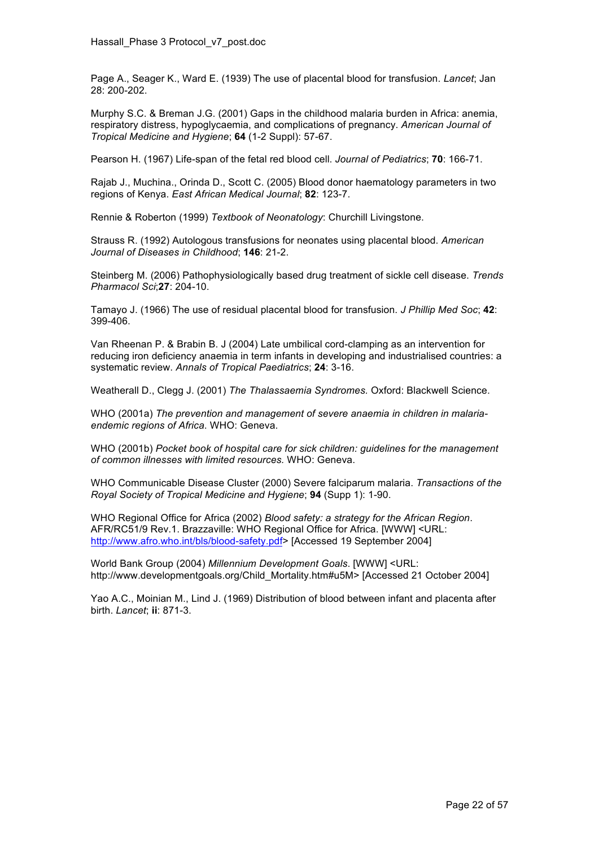Page A., Seager K., Ward E. (1939) The use of placental blood for transfusion. *Lancet*; Jan 28: 200-202.

Murphy S.C. & Breman J.G. (2001) Gaps in the childhood malaria burden in Africa: anemia, respiratory distress, hypoglycaemia, and complications of pregnancy. *American Journal of Tropical Medicine and Hygiene*; **64** (1-2 Suppl): 57-67.

Pearson H. (1967) Life-span of the fetal red blood cell. *Journal of Pediatrics*; **70**: 166-71.

Rajab J., Muchina., Orinda D., Scott C. (2005) Blood donor haematology parameters in two regions of Kenya. *East African Medical Journal*; **82**: 123-7.

Rennie & Roberton (1999) *Textbook of Neonatology*: Churchill Livingstone.

Strauss R. (1992) Autologous transfusions for neonates using placental blood. *American Journal of Diseases in Childhood*; **146**: 21-2.

Steinberg M. (2006) Pathophysiologically based drug treatment of sickle cell disease. *Trends Pharmacol Sci*;**27**: 204-10.

Tamayo J. (1966) The use of residual placental blood for transfusion. *J Phillip Med Soc*; **42**: 399-406.

Van Rheenan P. & Brabin B. J (2004) Late umbilical cord-clamping as an intervention for reducing iron deficiency anaemia in term infants in developing and industrialised countries: a systematic review. *Annals of Tropical Paediatrics*; **24**: 3-16.

Weatherall D., Clegg J. (2001) *The Thalassaemia Syndromes.* Oxford: Blackwell Science.

WHO (2001a) *The prevention and management of severe anaemia in children in malariaendemic regions of Africa*. WHO: Geneva.

WHO (2001b) *Pocket book of hospital care for sick children: guidelines for the management of common illnesses with limited resources.* WHO: Geneva.

WHO Communicable Disease Cluster (2000) Severe falciparum malaria. *Transactions of the Royal Society of Tropical Medicine and Hygiene*; **94** (Supp 1): 1-90.

WHO Regional Office for Africa (2002) *Blood safety: a strategy for the African Region*. AFR/RC51/9 Rev.1. Brazzaville: WHO Regional Office for Africa. [WWW] <URL: http://www.afro.who.int/bls/blood-safety.pdf> [Accessed 19 September 2004]

World Bank Group (2004) *Millennium Development Goals*. [WWW] <URL: http://www.developmentgoals.org/Child\_Mortality.htm#u5M> [Accessed 21 October 2004]

Yao A.C., Moinian M., Lind J. (1969) Distribution of blood between infant and placenta after birth. *Lancet*; **ii**: 871-3.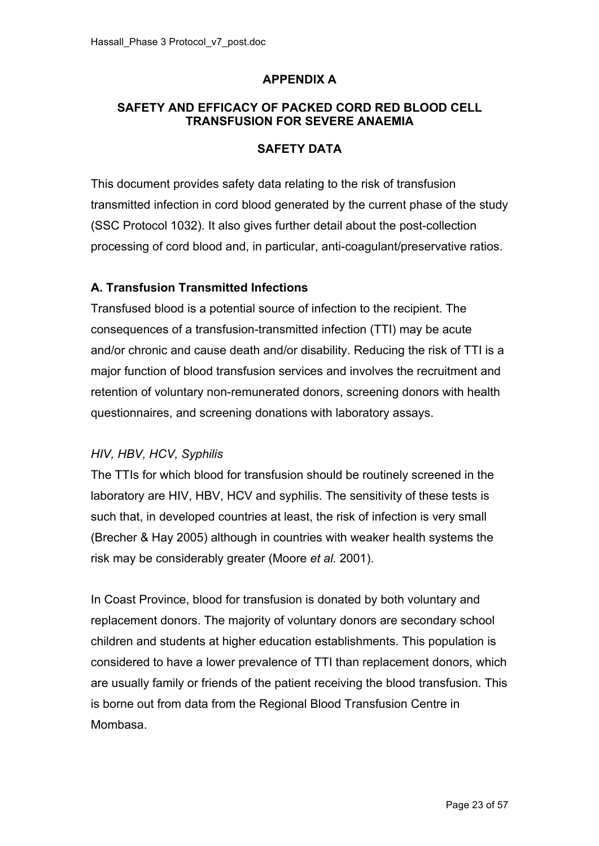# **APPENDIX A**

# **SAFETY AND EFFICACY OF PACKED CORD RED BLOOD CELL TRANSFUSION FOR SEVERE ANAEMIA**

# **SAFETY DATA**

This document provides safety data relating to the risk of transfusion transmitted infection in cord blood generated by the current phase of the study (SSC Protocol 1032). It also gives further detail about the post-collection processing of cord blood and, in particular, anti-coagulant/preservative ratios.

# **A. Transfusion Transmitted Infections**

Transfused blood is a potential source of infection to the recipient. The consequences of a transfusion-transmitted infection (TTI) may be acute and/or chronic and cause death and/or disability. Reducing the risk of TTI is a major function of blood transfusion services and involves the recruitment and retention of voluntary non-remunerated donors, screening donors with health questionnaires, and screening donations with laboratory assays.

# *HIV, HBV, HCV, Syphilis*

The TTIs for which blood for transfusion should be routinely screened in the laboratory are HIV, HBV, HCV and syphilis. The sensitivity of these tests is such that, in developed countries at least, the risk of infection is very small (Brecher & Hay 2005) although in countries with weaker health systems the risk may be considerably greater (Moore *et al.* 2001).

In Coast Province, blood for transfusion is donated by both voluntary and replacement donors. The majority of voluntary donors are secondary school children and students at higher education establishments. This population is considered to have a lower prevalence of TTI than replacement donors, which are usually family or friends of the patient receiving the blood transfusion. This is borne out from data from the Regional Blood Transfusion Centre in Mombasa.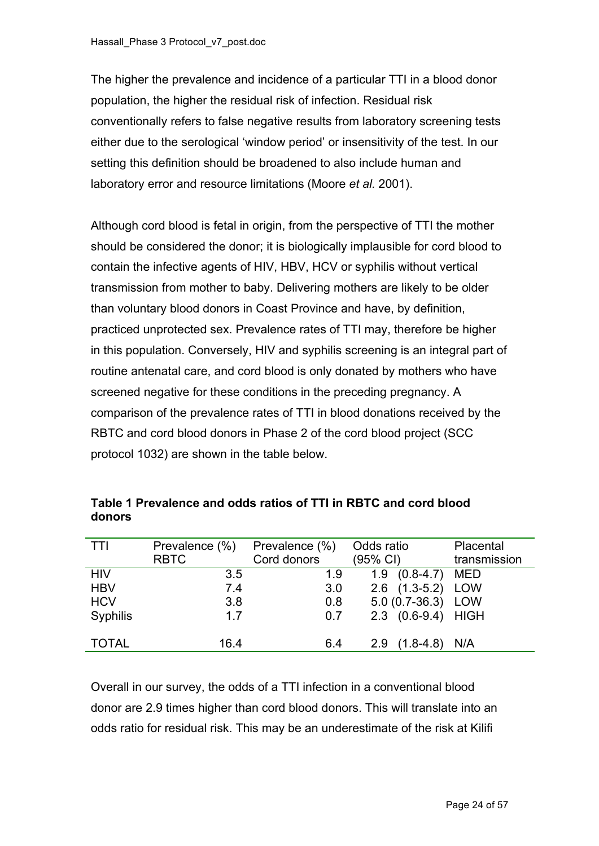The higher the prevalence and incidence of a particular TTI in a blood donor population, the higher the residual risk of infection. Residual risk conventionally refers to false negative results from laboratory screening tests either due to the serological 'window period' or insensitivity of the test. In our setting this definition should be broadened to also include human and laboratory error and resource limitations (Moore *et al.* 2001).

Although cord blood is fetal in origin, from the perspective of TTI the mother should be considered the donor; it is biologically implausible for cord blood to contain the infective agents of HIV, HBV, HCV or syphilis without vertical transmission from mother to baby. Delivering mothers are likely to be older than voluntary blood donors in Coast Province and have, by definition, practiced unprotected sex. Prevalence rates of TTI may, therefore be higher in this population. Conversely, HIV and syphilis screening is an integral part of routine antenatal care, and cord blood is only donated by mothers who have screened negative for these conditions in the preceding pregnancy. A comparison of the prevalence rates of TTI in blood donations received by the RBTC and cord blood donors in Phase 2 of the cord blood project (SCC protocol 1032) are shown in the table below.

| <b>TTI</b>   | Prevalence (%) | Prevalence (%) | Odds ratio             | Placental    |
|--------------|----------------|----------------|------------------------|--------------|
|              | <b>RBTC</b>    | Cord donors    | (95% CI)               | transmission |
| <b>HIV</b>   | 3.5            | 1.9            | $(0.8-4.7)$ MED<br>1.9 |              |
| <b>HBV</b>   | 7.4            | 3.0            | 2.6 (1.3-5.2) LOW      |              |
| <b>HCV</b>   | 3.8            | 0.8            | 5.0 (0.7-36.3) LOW     |              |
| Syphilis     | 1.7            | 0.7            | 2.3 (0.6-9.4) HIGH     |              |
|              |                |                |                        |              |
| <b>TOTAL</b> | 16.4           | 6.4            | $(1.8-4.8)$ N/A<br>2.9 |              |

**Table 1 Prevalence and odds ratios of TTI in RBTC and cord blood donors**

Overall in our survey, the odds of a TTI infection in a conventional blood donor are 2.9 times higher than cord blood donors. This will translate into an odds ratio for residual risk. This may be an underestimate of the risk at Kilifi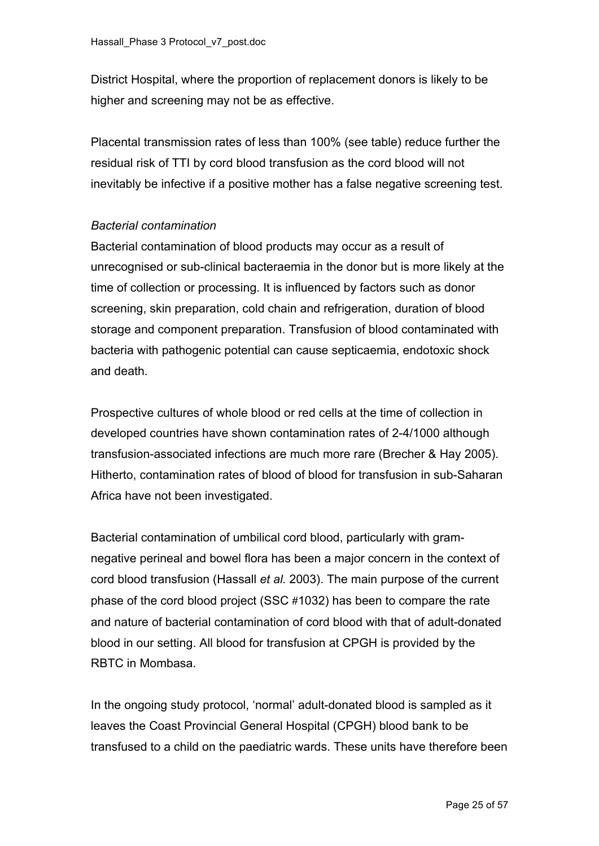District Hospital, where the proportion of replacement donors is likely to be higher and screening may not be as effective.

Placental transmission rates of less than 100% (see table) reduce further the residual risk of TTI by cord blood transfusion as the cord blood will not inevitably be infective if a positive mother has a false negative screening test.

### *Bacterial contamination*

Bacterial contamination of blood products may occur as a result of unrecognised or sub-clinical bacteraemia in the donor but is more likely at the time of collection or processing. It is influenced by factors such as donor screening, skin preparation, cold chain and refrigeration, duration of blood storage and component preparation. Transfusion of blood contaminated with bacteria with pathogenic potential can cause septicaemia, endotoxic shock and death.

Prospective cultures of whole blood or red cells at the time of collection in developed countries have shown contamination rates of 2-4/1000 although transfusion-associated infections are much more rare (Brecher & Hay 2005). Hitherto, contamination rates of blood of blood for transfusion in sub-Saharan Africa have not been investigated.

Bacterial contamination of umbilical cord blood, particularly with gramnegative perineal and bowel flora has been a major concern in the context of cord blood transfusion (Hassall *et al.* 2003). The main purpose of the current phase of the cord blood project (SSC #1032) has been to compare the rate and nature of bacterial contamination of cord blood with that of adult-donated blood in our setting. All blood for transfusion at CPGH is provided by the RBTC in Mombasa.

In the ongoing study protocol, 'normal' adult-donated blood is sampled as it leaves the Coast Provincial General Hospital (CPGH) blood bank to be transfused to a child on the paediatric wards. These units have therefore been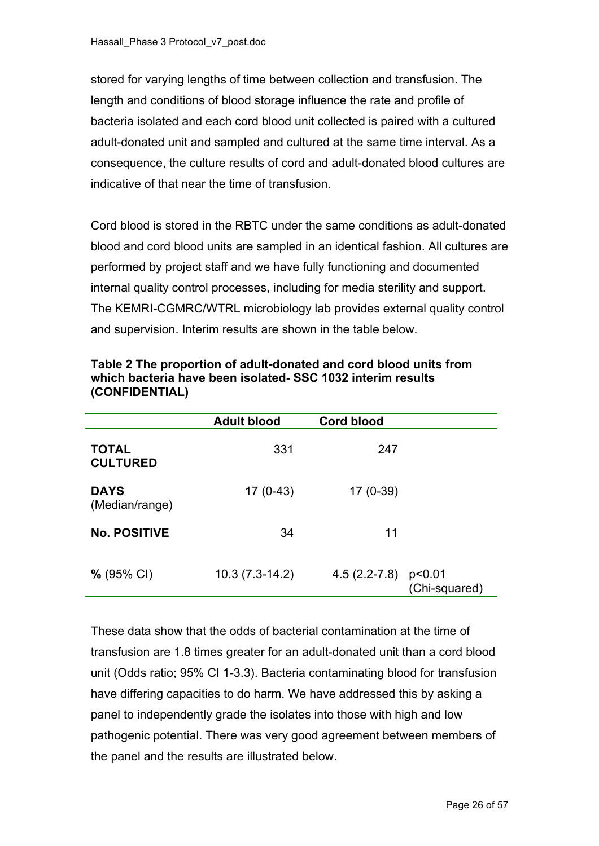stored for varying lengths of time between collection and transfusion. The length and conditions of blood storage influence the rate and profile of bacteria isolated and each cord blood unit collected is paired with a cultured adult-donated unit and sampled and cultured at the same time interval. As a consequence, the culture results of cord and adult-donated blood cultures are indicative of that near the time of transfusion.

Cord blood is stored in the RBTC under the same conditions as adult-donated blood and cord blood units are sampled in an identical fashion. All cultures are performed by project staff and we have fully functioning and documented internal quality control processes, including for media sterility and support. The KEMRI-CGMRC/WTRL microbiology lab provides external quality control and supervision. Interim results are shown in the table below.

|                                 | <b>Adult blood</b> | <b>Cord blood</b> |                         |
|---------------------------------|--------------------|-------------------|-------------------------|
| <b>TOTAL</b><br><b>CULTURED</b> | 331                | 247               |                         |
| <b>DAYS</b><br>(Median/range)   | $17(0-43)$         | $17(0-39)$        |                         |
| <b>No. POSITIVE</b>             | 34                 | 11                |                         |
| $% (95\% \text{ Cl})$           | $10.3(7.3-14.2)$   | $4.5(2.2-7.8)$    | p<0.01<br>(Chi-squared) |

**Table 2 The proportion of adult-donated and cord blood units from which bacteria have been isolated- SSC 1032 interim results (CONFIDENTIAL)** 

These data show that the odds of bacterial contamination at the time of transfusion are 1.8 times greater for an adult-donated unit than a cord blood unit (Odds ratio; 95% CI 1-3.3). Bacteria contaminating blood for transfusion have differing capacities to do harm. We have addressed this by asking a panel to independently grade the isolates into those with high and low pathogenic potential. There was very good agreement between members of the panel and the results are illustrated below.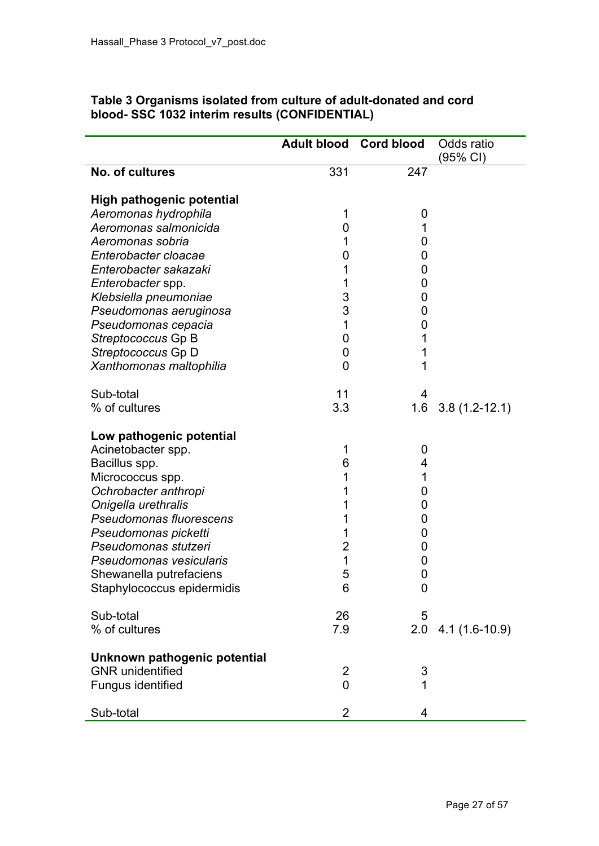|                                                 | <b>Adult blood Cord blood</b> |                  | Odds ratio<br>(95% CI) |
|-------------------------------------------------|-------------------------------|------------------|------------------------|
| No. of cultures                                 | 331                           | 247              |                        |
|                                                 |                               |                  |                        |
| High pathogenic potential                       |                               |                  |                        |
| Aeromonas hydrophila                            | 1                             | 0                |                        |
| Aeromonas salmonicida                           | 0                             | 1                |                        |
| Aeromonas sobria                                | 1                             | 0                |                        |
| Enterobacter cloacae<br>Enterobacter sakazaki   | 0                             | 0<br>0           |                        |
|                                                 | 1<br>1                        | 0                |                        |
| Enterobacter spp.                               | 3                             | 0                |                        |
| Klebsiella pneumoniae<br>Pseudomonas aeruginosa | 3                             | 0                |                        |
| Pseudomonas cepacia                             | 1                             | 0                |                        |
| Streptococcus Gp B                              | 0                             | 1                |                        |
| Streptococcus Gp D                              | 0                             | 1                |                        |
| Xanthomonas maltophilia                         | 0                             | 1                |                        |
|                                                 |                               |                  |                        |
| Sub-total                                       | 11                            | 4                |                        |
| % of cultures                                   | 3.3                           | $1.6\,$          | $3.8(1.2-12.1)$        |
| Low pathogenic potential                        |                               |                  |                        |
| Acinetobacter spp.                              | 1                             | 0                |                        |
| Bacillus spp.                                   | 6                             | 4                |                        |
| Micrococcus spp.                                | 1                             | 1                |                        |
| Ochrobacter anthropi                            | 1                             | 0                |                        |
| Onigella urethralis                             | 1                             | 0                |                        |
| Pseudomonas fluorescens                         | 1                             | 0                |                        |
| Pseudomonas picketti                            | 1                             | 0                |                        |
| Pseudomonas stutzeri                            | $\overline{2}$                | 0                |                        |
| Pseudomonas vesicularis                         | 1                             | 0                |                        |
| Shewanella putrefaciens                         | 5                             | 0                |                        |
| Staphylococcus epidermidis                      | 6                             | $\boldsymbol{0}$ |                        |
|                                                 |                               |                  |                        |
| Sub-total                                       | 26                            | 5                |                        |
| % of cultures                                   | 7.9                           | 2.0              | $4.1(1.6-10.9)$        |
| Unknown pathogenic potential                    |                               |                  |                        |
| <b>GNR</b> unidentified                         | 2                             | 3                |                        |
| Fungus identified                               | 0                             | 1                |                        |
| Sub-total                                       | 2                             | 4                |                        |
|                                                 |                               |                  |                        |

# **Table 3 Organisms isolated from culture of adult-donated and cord blood- SSC 1032 interim results (CONFIDENTIAL)**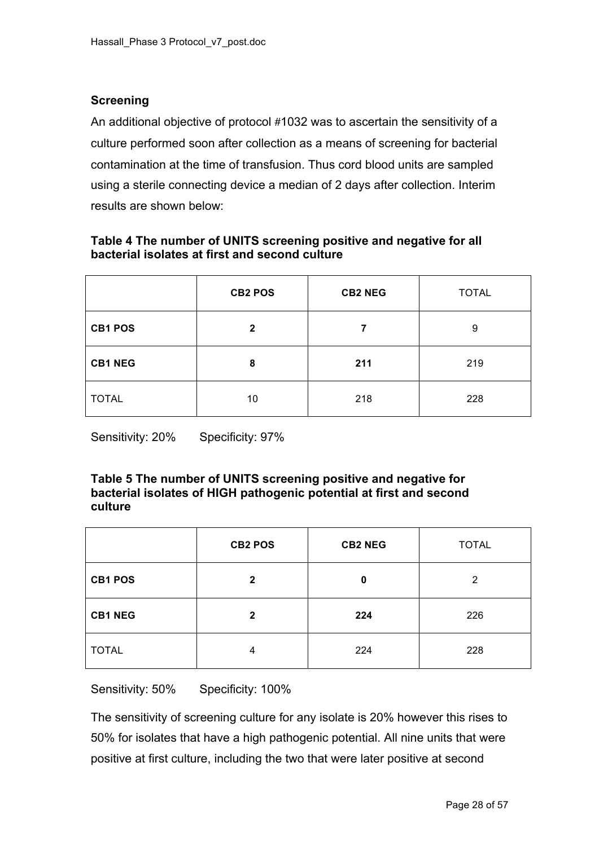### **Screening**

An additional objective of protocol #1032 was to ascertain the sensitivity of a culture performed soon after collection as a means of screening for bacterial contamination at the time of transfusion. Thus cord blood units are sampled using a sterile connecting device a median of 2 days after collection. Interim results are shown below:

## **Table 4 The number of UNITS screening positive and negative for all bacterial isolates at first and second culture**

|                | <b>CB2 POS</b> | <b>CB2 NEG</b> | <b>TOTAL</b> |
|----------------|----------------|----------------|--------------|
| <b>CB1 POS</b> | $\mathbf{2}$   | 7              | 9            |
| <b>CB1 NEG</b> | 8              | 211            | 219          |
| <b>TOTAL</b>   | 10             | 218            | 228          |

Sensitivity: 20% Specificity: 97%

## **Table 5 The number of UNITS screening positive and negative for bacterial isolates of HIGH pathogenic potential at first and second culture**

|                | <b>CB2 POS</b> | <b>CB2 NEG</b> | <b>TOTAL</b>   |
|----------------|----------------|----------------|----------------|
| <b>CB1 POS</b> | $\mathbf{2}$   | 0              | $\overline{2}$ |
| <b>CB1 NEG</b> | $\mathbf{2}$   | 224            | 226            |
| <b>TOTAL</b>   | 4              | 224            | 228            |

Sensitivity: 50% Specificity: 100%

The sensitivity of screening culture for any isolate is 20% however this rises to 50% for isolates that have a high pathogenic potential. All nine units that were positive at first culture, including the two that were later positive at second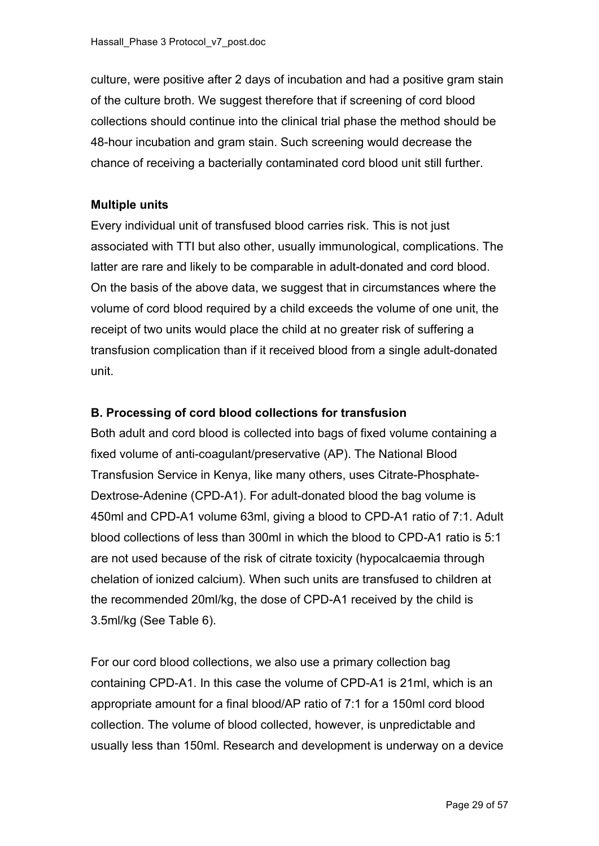culture, were positive after 2 days of incubation and had a positive gram stain of the culture broth. We suggest therefore that if screening of cord blood collections should continue into the clinical trial phase the method should be 48-hour incubation and gram stain. Such screening would decrease the chance of receiving a bacterially contaminated cord blood unit still further.

### **Multiple units**

Every individual unit of transfused blood carries risk. This is not just associated with TTI but also other, usually immunological, complications. The latter are rare and likely to be comparable in adult-donated and cord blood. On the basis of the above data, we suggest that in circumstances where the volume of cord blood required by a child exceeds the volume of one unit, the receipt of two units would place the child at no greater risk of suffering a transfusion complication than if it received blood from a single adult-donated unit.

### **B. Processing of cord blood collections for transfusion**

Both adult and cord blood is collected into bags of fixed volume containing a fixed volume of anti-coagulant/preservative (AP). The National Blood Transfusion Service in Kenya, like many others, uses Citrate-Phosphate-Dextrose-Adenine (CPD-A1). For adult-donated blood the bag volume is 450ml and CPD-A1 volume 63ml, giving a blood to CPD-A1 ratio of 7:1. Adult blood collections of less than 300ml in which the blood to CPD-A1 ratio is 5:1 are not used because of the risk of citrate toxicity (hypocalcaemia through chelation of ionized calcium). When such units are transfused to children at the recommended 20ml/kg, the dose of CPD-A1 received by the child is 3.5ml/kg (See Table 6).

For our cord blood collections, we also use a primary collection bag containing CPD-A1. In this case the volume of CPD-A1 is 21ml, which is an appropriate amount for a final blood/AP ratio of 7:1 for a 150ml cord blood collection. The volume of blood collected, however, is unpredictable and usually less than 150ml. Research and development is underway on a device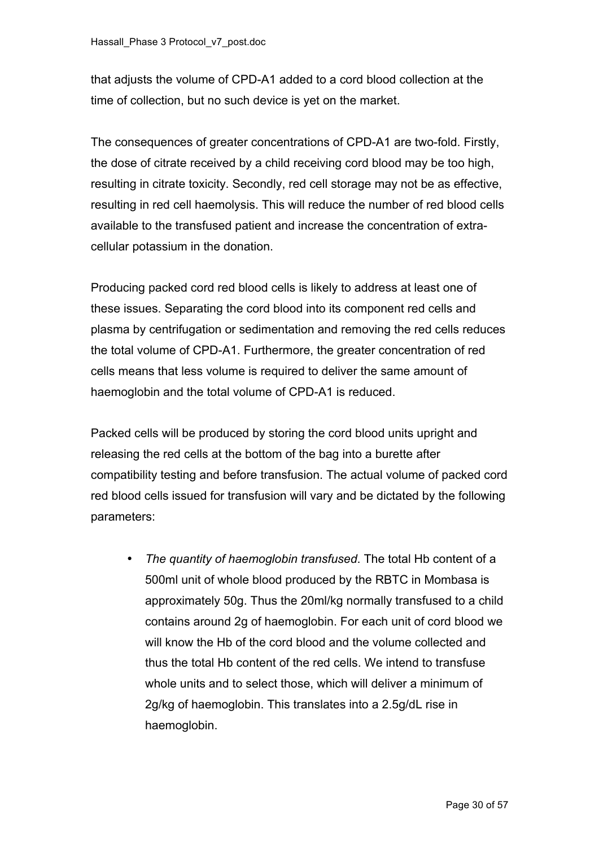that adjusts the volume of CPD-A1 added to a cord blood collection at the time of collection, but no such device is yet on the market.

The consequences of greater concentrations of CPD-A1 are two-fold. Firstly, the dose of citrate received by a child receiving cord blood may be too high, resulting in citrate toxicity. Secondly, red cell storage may not be as effective, resulting in red cell haemolysis. This will reduce the number of red blood cells available to the transfused patient and increase the concentration of extracellular potassium in the donation.

Producing packed cord red blood cells is likely to address at least one of these issues. Separating the cord blood into its component red cells and plasma by centrifugation or sedimentation and removing the red cells reduces the total volume of CPD-A1. Furthermore, the greater concentration of red cells means that less volume is required to deliver the same amount of haemoglobin and the total volume of CPD-A1 is reduced.

Packed cells will be produced by storing the cord blood units upright and releasing the red cells at the bottom of the bag into a burette after compatibility testing and before transfusion. The actual volume of packed cord red blood cells issued for transfusion will vary and be dictated by the following parameters:

• *The quantity of haemoglobin transfused*. The total Hb content of a 500ml unit of whole blood produced by the RBTC in Mombasa is approximately 50g. Thus the 20ml/kg normally transfused to a child contains around 2g of haemoglobin. For each unit of cord blood we will know the Hb of the cord blood and the volume collected and thus the total Hb content of the red cells. We intend to transfuse whole units and to select those, which will deliver a minimum of 2g/kg of haemoglobin. This translates into a 2.5g/dL rise in haemoglobin.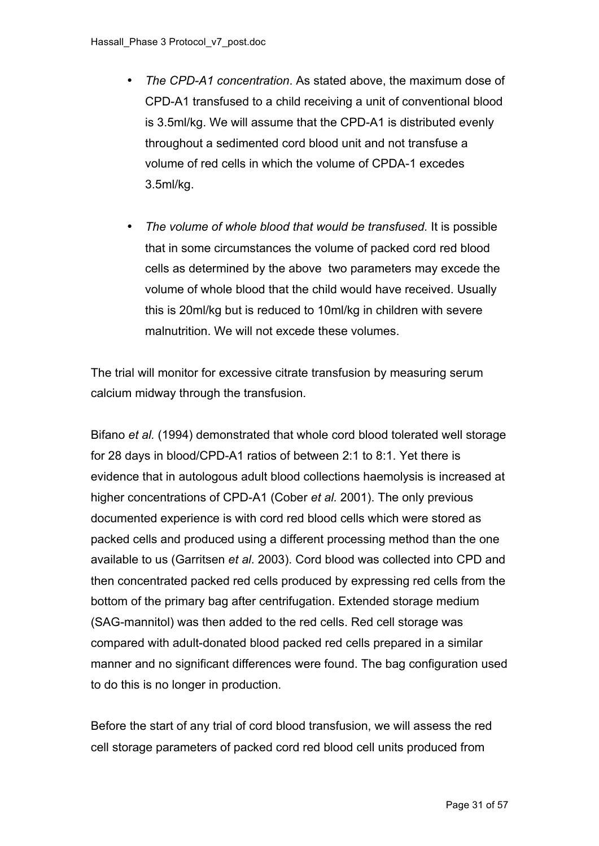- *The CPD-A1 concentration*. As stated above, the maximum dose of CPD-A1 transfused to a child receiving a unit of conventional blood is 3.5ml/kg. We will assume that the CPD-A1 is distributed evenly throughout a sedimented cord blood unit and not transfuse a volume of red cells in which the volume of CPDA-1 excedes 3.5ml/kg.
- *The volume of whole blood that would be transfused.* It is possible that in some circumstances the volume of packed cord red blood cells as determined by the above two parameters may excede the volume of whole blood that the child would have received. Usually this is 20ml/kg but is reduced to 10ml/kg in children with severe malnutrition. We will not excede these volumes.

The trial will monitor for excessive citrate transfusion by measuring serum calcium midway through the transfusion.

Bifano *et al.* (1994) demonstrated that whole cord blood tolerated well storage for 28 days in blood/CPD-A1 ratios of between 2:1 to 8:1. Yet there is evidence that in autologous adult blood collections haemolysis is increased at higher concentrations of CPD-A1 (Cober *et al.* 2001). The only previous documented experience is with cord red blood cells which were stored as packed cells and produced using a different processing method than the one available to us (Garritsen *et al*. 2003). Cord blood was collected into CPD and then concentrated packed red cells produced by expressing red cells from the bottom of the primary bag after centrifugation. Extended storage medium (SAG-mannitol) was then added to the red cells. Red cell storage was compared with adult-donated blood packed red cells prepared in a similar manner and no significant differences were found. The bag configuration used to do this is no longer in production.

Before the start of any trial of cord blood transfusion, we will assess the red cell storage parameters of packed cord red blood cell units produced from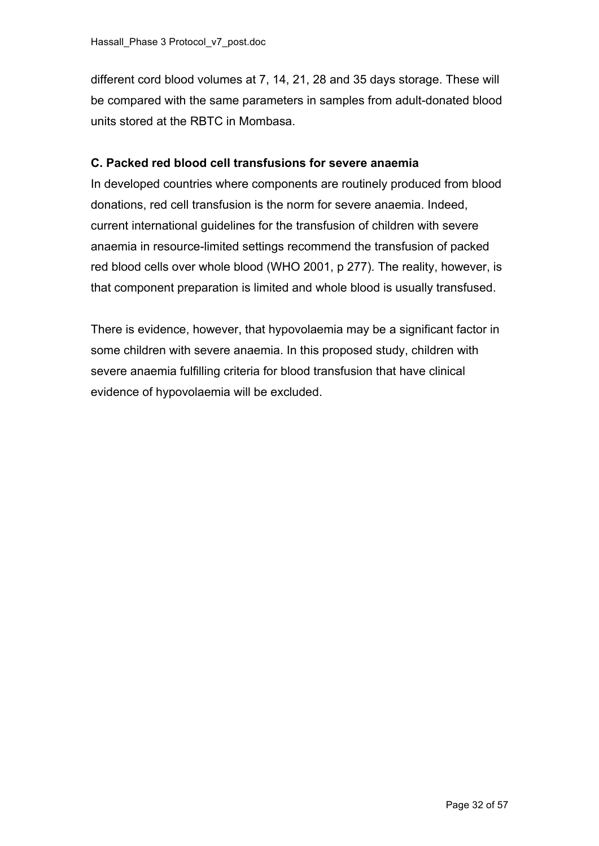different cord blood volumes at 7, 14, 21, 28 and 35 days storage. These will be compared with the same parameters in samples from adult-donated blood units stored at the RBTC in Mombasa.

# **C. Packed red blood cell transfusions for severe anaemia**

In developed countries where components are routinely produced from blood donations, red cell transfusion is the norm for severe anaemia. Indeed, current international guidelines for the transfusion of children with severe anaemia in resource-limited settings recommend the transfusion of packed red blood cells over whole blood (WHO 2001, p 277). The reality, however, is that component preparation is limited and whole blood is usually transfused.

There is evidence, however, that hypovolaemia may be a significant factor in some children with severe anaemia. In this proposed study, children with severe anaemia fulfilling criteria for blood transfusion that have clinical evidence of hypovolaemia will be excluded.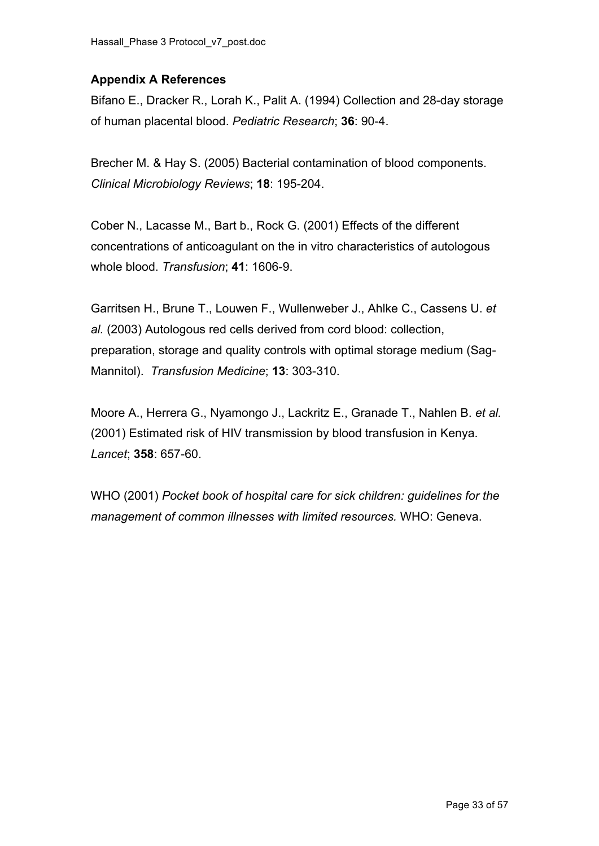# **Appendix A References**

Bifano E., Dracker R., Lorah K., Palit A. (1994) Collection and 28-day storage of human placental blood. *Pediatric Research*; **36**: 90-4.

Brecher M. & Hay S. (2005) Bacterial contamination of blood components. *Clinical Microbiology Reviews*; **18**: 195-204.

Cober N., Lacasse M., Bart b., Rock G. (2001) Effects of the different concentrations of anticoagulant on the in vitro characteristics of autologous whole blood. *Transfusion*; **41**: 1606-9.

Garritsen H., Brune T., Louwen F., Wullenweber J., Ahlke C., Cassens U. *et al.* (2003) Autologous red cells derived from cord blood: collection, preparation, storage and quality controls with optimal storage medium (Sag-Mannitol). *Transfusion Medicine*; **13**: 303-310.

Moore A., Herrera G., Nyamongo J., Lackritz E., Granade T., Nahlen B. *et al.* (2001) Estimated risk of HIV transmission by blood transfusion in Kenya. *Lancet*; **358**: 657-60.

WHO (2001) *Pocket book of hospital care for sick children: guidelines for the management of common illnesses with limited resources.* WHO: Geneva.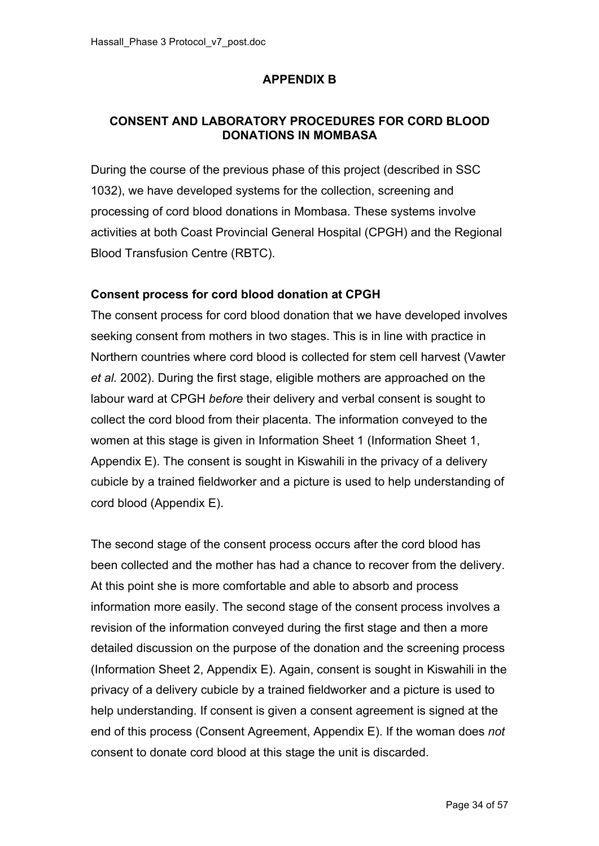# **APPENDIX B**

# **CONSENT AND LABORATORY PROCEDURES FOR CORD BLOOD DONATIONS IN MOMBASA**

During the course of the previous phase of this project (described in SSC 1032), we have developed systems for the collection, screening and processing of cord blood donations in Mombasa. These systems involve activities at both Coast Provincial General Hospital (CPGH) and the Regional Blood Transfusion Centre (RBTC).

### **Consent process for cord blood donation at CPGH**

The consent process for cord blood donation that we have developed involves seeking consent from mothers in two stages. This is in line with practice in Northern countries where cord blood is collected for stem cell harvest (Vawter *et al.* 2002). During the first stage, eligible mothers are approached on the labour ward at CPGH *before* their delivery and verbal consent is sought to collect the cord blood from their placenta. The information conveyed to the women at this stage is given in Information Sheet 1 (Information Sheet 1, Appendix E). The consent is sought in Kiswahili in the privacy of a delivery cubicle by a trained fieldworker and a picture is used to help understanding of cord blood (Appendix E).

The second stage of the consent process occurs after the cord blood has been collected and the mother has had a chance to recover from the delivery. At this point she is more comfortable and able to absorb and process information more easily. The second stage of the consent process involves a revision of the information conveyed during the first stage and then a more detailed discussion on the purpose of the donation and the screening process (Information Sheet 2, Appendix E). Again, consent is sought in Kiswahili in the privacy of a delivery cubicle by a trained fieldworker and a picture is used to help understanding. If consent is given a consent agreement is signed at the end of this process (Consent Agreement, Appendix E). If the woman does *not* consent to donate cord blood at this stage the unit is discarded.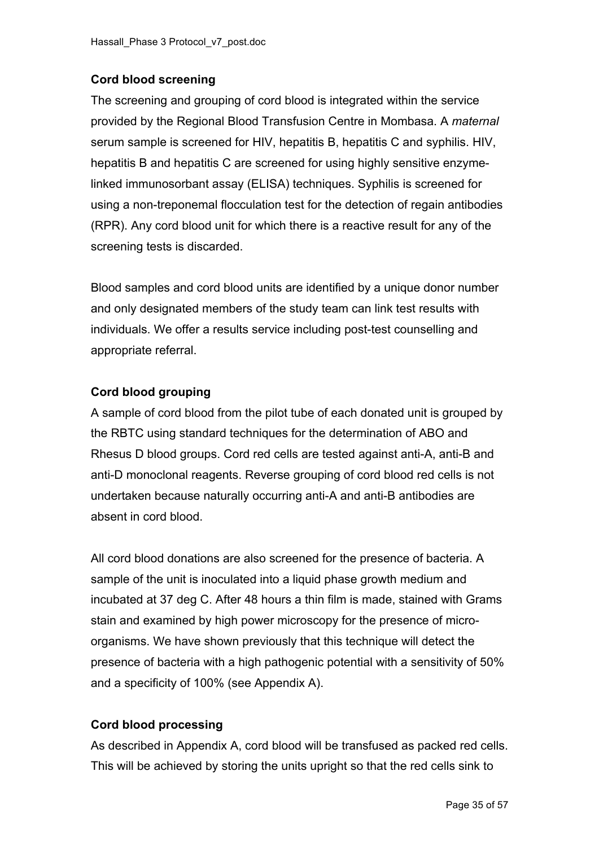# **Cord blood screening**

The screening and grouping of cord blood is integrated within the service provided by the Regional Blood Transfusion Centre in Mombasa. A *maternal*  serum sample is screened for HIV, hepatitis B, hepatitis C and syphilis. HIV, hepatitis B and hepatitis C are screened for using highly sensitive enzymelinked immunosorbant assay (ELISA) techniques. Syphilis is screened for using a non-treponemal flocculation test for the detection of regain antibodies (RPR). Any cord blood unit for which there is a reactive result for any of the screening tests is discarded.

Blood samples and cord blood units are identified by a unique donor number and only designated members of the study team can link test results with individuals. We offer a results service including post-test counselling and appropriate referral.

# **Cord blood grouping**

A sample of cord blood from the pilot tube of each donated unit is grouped by the RBTC using standard techniques for the determination of ABO and Rhesus D blood groups. Cord red cells are tested against anti-A, anti-B and anti-D monoclonal reagents. Reverse grouping of cord blood red cells is not undertaken because naturally occurring anti-A and anti-B antibodies are absent in cord blood.

All cord blood donations are also screened for the presence of bacteria. A sample of the unit is inoculated into a liquid phase growth medium and incubated at 37 deg C. After 48 hours a thin film is made, stained with Grams stain and examined by high power microscopy for the presence of microorganisms. We have shown previously that this technique will detect the presence of bacteria with a high pathogenic potential with a sensitivity of 50% and a specificity of 100% (see Appendix A).

# **Cord blood processing**

As described in Appendix A, cord blood will be transfused as packed red cells. This will be achieved by storing the units upright so that the red cells sink to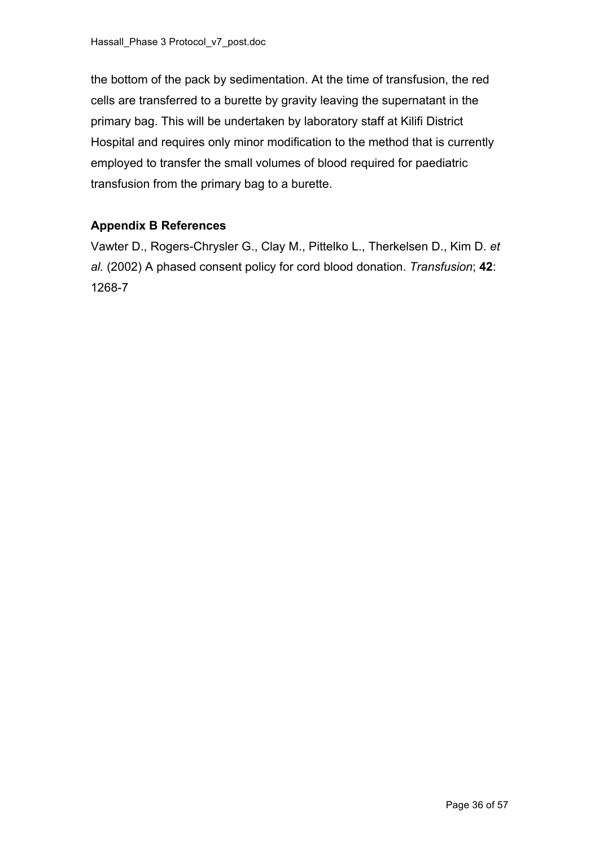the bottom of the pack by sedimentation. At the time of transfusion, the red cells are transferred to a burette by gravity leaving the supernatant in the primary bag. This will be undertaken by laboratory staff at Kilifi District Hospital and requires only minor modification to the method that is currently employed to transfer the small volumes of blood required for paediatric transfusion from the primary bag to a burette.

# **Appendix B References**

Vawter D., Rogers-Chrysler G., Clay M., Pittelko L., Therkelsen D., Kim D. *et al.* (2002) A phased consent policy for cord blood donation. *Transfusion*; **42**: 1268-7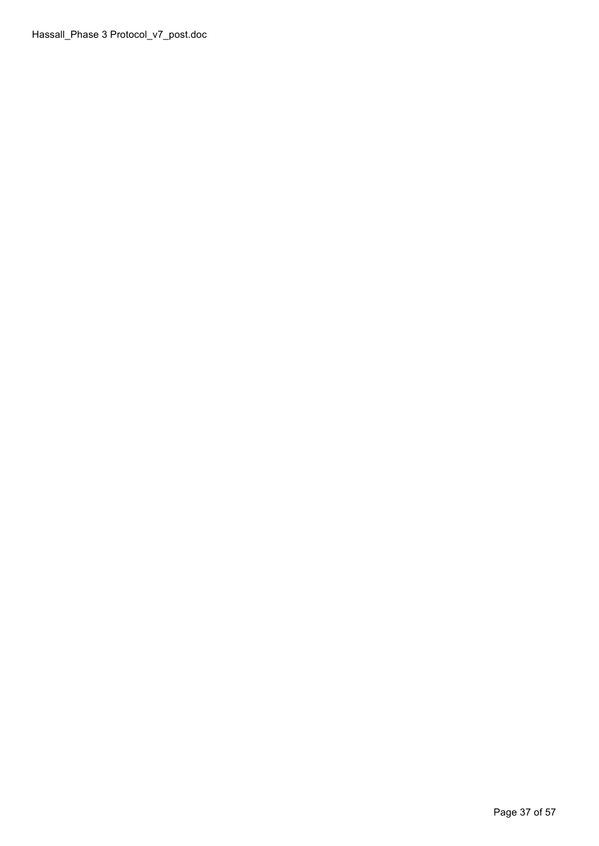Hassall\_Phase 3 Protocol\_v7\_post.doc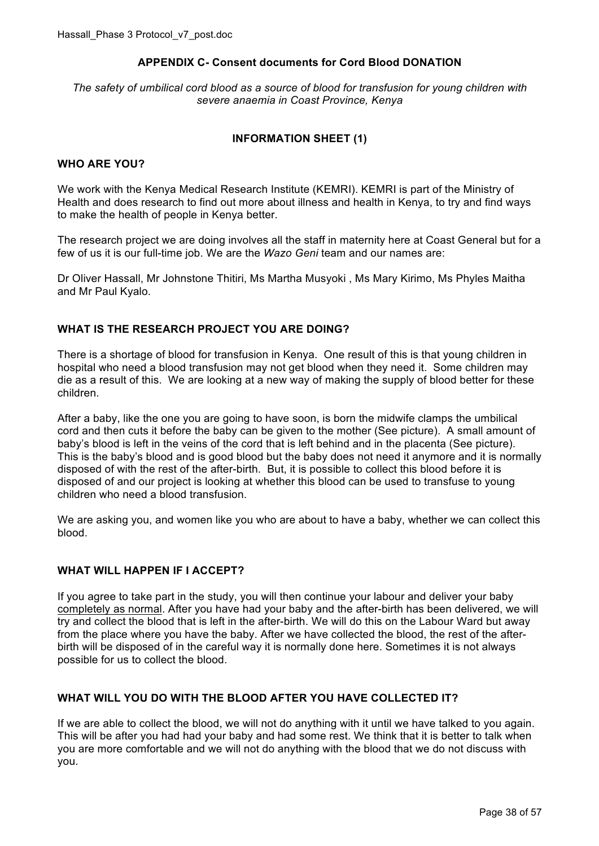#### **APPENDIX C- Consent documents for Cord Blood DONATION**

*The safety of umbilical cord blood as a source of blood for transfusion for young children with severe anaemia in Coast Province, Kenya*

#### **INFORMATION SHEET (1)**

#### **WHO ARE YOU?**

We work with the Kenya Medical Research Institute (KEMRI). KEMRI is part of the Ministry of Health and does research to find out more about illness and health in Kenya, to try and find ways to make the health of people in Kenya better.

The research project we are doing involves all the staff in maternity here at Coast General but for a few of us it is our full-time job. We are the *Wazo Geni* team and our names are:

Dr Oliver Hassall, Mr Johnstone Thitiri, Ms Martha Musyoki , Ms Mary Kirimo, Ms Phyles Maitha and Mr Paul Kyalo.

#### **WHAT IS THE RESEARCH PROJECT YOU ARE DOING?**

There is a shortage of blood for transfusion in Kenya. One result of this is that young children in hospital who need a blood transfusion may not get blood when they need it. Some children may die as a result of this. We are looking at a new way of making the supply of blood better for these children.

After a baby, like the one you are going to have soon, is born the midwife clamps the umbilical cord and then cuts it before the baby can be given to the mother (See picture). A small amount of baby's blood is left in the veins of the cord that is left behind and in the placenta (See picture). This is the baby's blood and is good blood but the baby does not need it anymore and it is normally disposed of with the rest of the after-birth. But, it is possible to collect this blood before it is disposed of and our project is looking at whether this blood can be used to transfuse to young children who need a blood transfusion.

We are asking you, and women like you who are about to have a baby, whether we can collect this blood.

#### **WHAT WILL HAPPEN IF I ACCEPT?**

If you agree to take part in the study, you will then continue your labour and deliver your baby completely as normal. After you have had your baby and the after-birth has been delivered, we will try and collect the blood that is left in the after-birth. We will do this on the Labour Ward but away from the place where you have the baby. After we have collected the blood, the rest of the afterbirth will be disposed of in the careful way it is normally done here. Sometimes it is not always possible for us to collect the blood.

#### **WHAT WILL YOU DO WITH THE BLOOD AFTER YOU HAVE COLLECTED IT?**

If we are able to collect the blood, we will not do anything with it until we have talked to you again. This will be after you had had your baby and had some rest. We think that it is better to talk when you are more comfortable and we will not do anything with the blood that we do not discuss with you.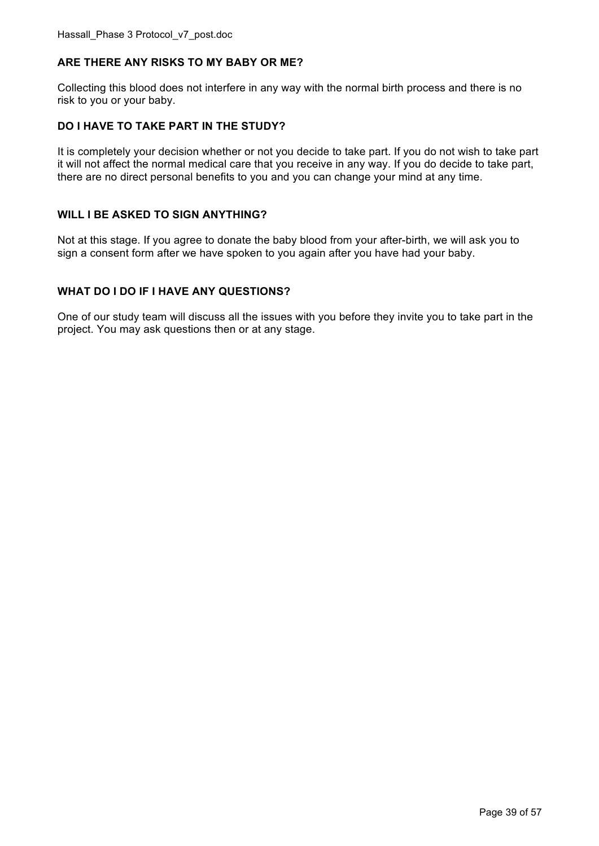#### **ARE THERE ANY RISKS TO MY BABY OR ME?**

Collecting this blood does not interfere in any way with the normal birth process and there is no risk to you or your baby.

### **DO I HAVE TO TAKE PART IN THE STUDY?**

It is completely your decision whether or not you decide to take part. If you do not wish to take part it will not affect the normal medical care that you receive in any way. If you do decide to take part, there are no direct personal benefits to you and you can change your mind at any time.

#### **WILL I BE ASKED TO SIGN ANYTHING?**

Not at this stage. If you agree to donate the baby blood from your after-birth, we will ask you to sign a consent form after we have spoken to you again after you have had your baby.

#### **WHAT DO I DO IF I HAVE ANY QUESTIONS?**

One of our study team will discuss all the issues with you before they invite you to take part in the project. You may ask questions then or at any stage.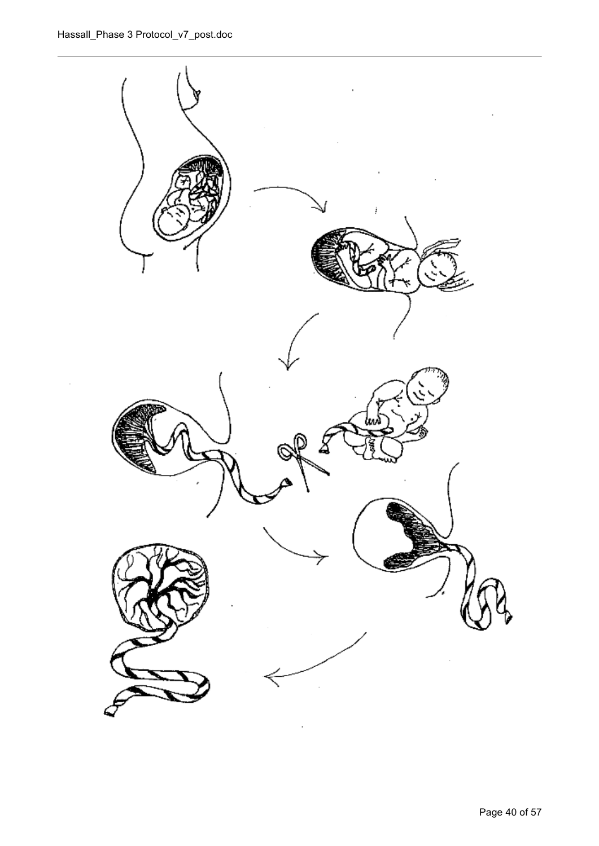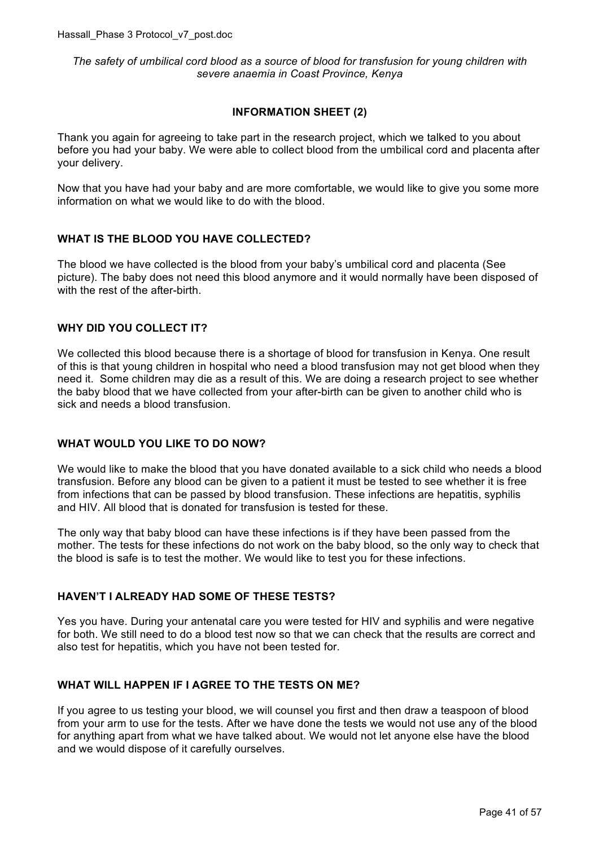#### *The safety of umbilical cord blood as a source of blood for transfusion for young children with severe anaemia in Coast Province, Kenya*

### **INFORMATION SHEET (2)**

Thank you again for agreeing to take part in the research project, which we talked to you about before you had your baby. We were able to collect blood from the umbilical cord and placenta after your delivery.

Now that you have had your baby and are more comfortable, we would like to give you some more information on what we would like to do with the blood.

### **WHAT IS THE BLOOD YOU HAVE COLLECTED?**

The blood we have collected is the blood from your baby's umbilical cord and placenta (See picture). The baby does not need this blood anymore and it would normally have been disposed of with the rest of the after-birth.

### **WHY DID YOU COLLECT IT?**

We collected this blood because there is a shortage of blood for transfusion in Kenya. One result of this is that young children in hospital who need a blood transfusion may not get blood when they need it. Some children may die as a result of this. We are doing a research project to see whether the baby blood that we have collected from your after-birth can be given to another child who is sick and needs a blood transfusion.

#### **WHAT WOULD YOU LIKE TO DO NOW?**

We would like to make the blood that you have donated available to a sick child who needs a blood transfusion. Before any blood can be given to a patient it must be tested to see whether it is free from infections that can be passed by blood transfusion. These infections are hepatitis, syphilis and HIV. All blood that is donated for transfusion is tested for these.

The only way that baby blood can have these infections is if they have been passed from the mother. The tests for these infections do not work on the baby blood, so the only way to check that the blood is safe is to test the mother. We would like to test you for these infections.

### **HAVEN'T I ALREADY HAD SOME OF THESE TESTS?**

Yes you have. During your antenatal care you were tested for HIV and syphilis and were negative for both. We still need to do a blood test now so that we can check that the results are correct and also test for hepatitis, which you have not been tested for.

#### **WHAT WILL HAPPEN IF I AGREE TO THE TESTS ON ME?**

If you agree to us testing your blood, we will counsel you first and then draw a teaspoon of blood from your arm to use for the tests. After we have done the tests we would not use any of the blood for anything apart from what we have talked about. We would not let anyone else have the blood and we would dispose of it carefully ourselves.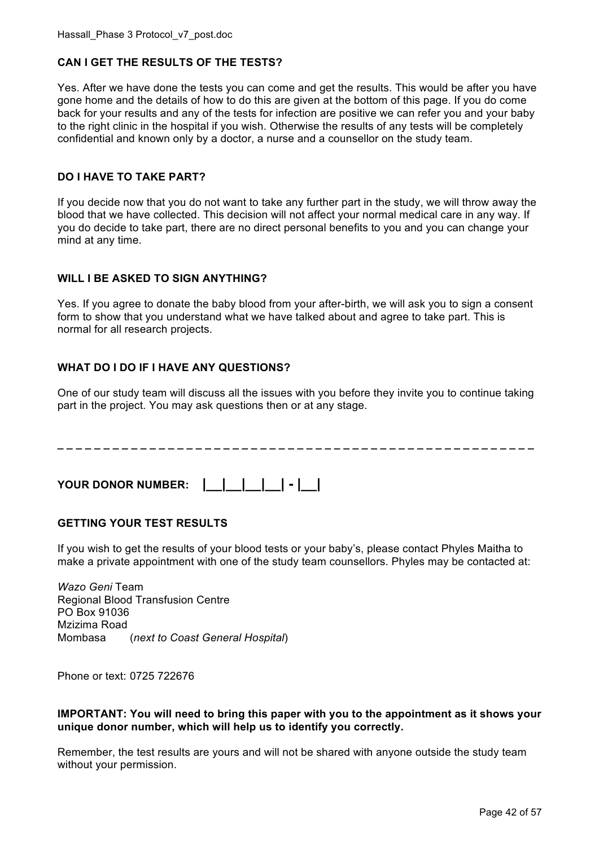#### **CAN I GET THE RESULTS OF THE TESTS?**

Yes. After we have done the tests you can come and get the results. This would be after you have gone home and the details of how to do this are given at the bottom of this page. If you do come back for your results and any of the tests for infection are positive we can refer you and your baby to the right clinic in the hospital if you wish. Otherwise the results of any tests will be completely confidential and known only by a doctor, a nurse and a counsellor on the study team.

#### **DO I HAVE TO TAKE PART?**

If you decide now that you do not want to take any further part in the study, we will throw away the blood that we have collected. This decision will not affect your normal medical care in any way. If you do decide to take part, there are no direct personal benefits to you and you can change your mind at any time.

#### **WILL I BE ASKED TO SIGN ANYTHING?**

Yes. If you agree to donate the baby blood from your after-birth, we will ask you to sign a consent form to show that you understand what we have talked about and agree to take part. This is normal for all research projects.

#### **WHAT DO I DO IF I HAVE ANY QUESTIONS?**

One of our study team will discuss all the issues with you before they invite you to continue taking part in the project. You may ask questions then or at any stage.

**\_ \_ \_ \_ \_ \_ \_ \_ \_ \_ \_ \_ \_ \_ \_ \_ \_ \_ \_ \_ \_ \_ \_ \_ \_ \_ \_ \_ \_ \_ \_ \_ \_ \_ \_ \_ \_ \_ \_ \_ \_ \_ \_ \_ \_ \_ \_ \_ \_ \_ \_ \_** 

**YOUR DONOR NUMBER: |\_\_|\_\_|\_\_|\_\_| - |\_\_|**

#### **GETTING YOUR TEST RESULTS**

If you wish to get the results of your blood tests or your baby's, please contact Phyles Maitha to make a private appointment with one of the study team counsellors. Phyles may be contacted at:

*Wazo Geni* Team Regional Blood Transfusion Centre PO Box 91036 Mzizima Road Mombasa (*next to Coast General Hospital*)

Phone or text: 0725 722676

#### **IMPORTANT: You will need to bring this paper with you to the appointment as it shows your unique donor number, which will help us to identify you correctly.**

Remember, the test results are yours and will not be shared with anyone outside the study team without your permission.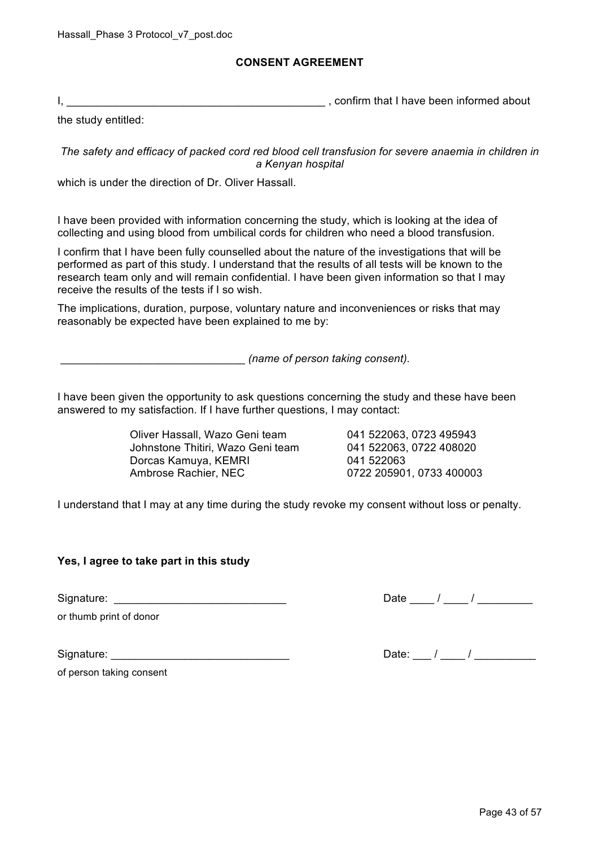#### **CONSENT AGREEMENT**

I, \_\_\_\_\_\_\_\_\_\_\_\_\_\_\_\_\_\_\_\_\_\_\_\_\_\_\_\_\_\_\_\_\_\_\_\_\_\_\_\_\_\_ , confirm that I have been informed about

the study entitled:

#### *The safety and efficacy of packed cord red blood cell transfusion for severe anaemia in children in a Kenyan hospital*

which is under the direction of Dr. Oliver Hassall.

I have been provided with information concerning the study, which is looking at the idea of collecting and using blood from umbilical cords for children who need a blood transfusion.

I confirm that I have been fully counselled about the nature of the investigations that will be performed as part of this study. I understand that the results of all tests will be known to the research team only and will remain confidential. I have been given information so that I may receive the results of the tests if I so wish.

The implications, duration, purpose, voluntary nature and inconveniences or risks that may reasonably be expected have been explained to me by:

\_\_\_\_\_\_\_\_\_\_\_\_\_\_\_\_\_\_\_\_\_\_\_\_\_\_\_\_\_\_ *(name of person taking consent).*

I have been given the opportunity to ask questions concerning the study and these have been answered to my satisfaction. If I have further questions, I may contact:

> Oliver Hassall, Wazo Geni team 041 522063, 0723 495943 Johnstone Thitiri, Wazo Geni team 041 522063, 0722 408020 Dorcas Kamuya, KEMRI 041 522063 Ambrose Rachier, NEC 0722 205901, 0733 400003

I understand that I may at any time during the study revoke my consent without loss or penalty.

#### **Yes, I agree to take part in this study**

Signature: \_\_\_\_\_\_\_\_\_\_\_\_\_\_\_\_\_\_\_\_\_\_\_\_\_\_\_\_ Date \_\_\_\_ / \_\_\_\_ / \_\_\_\_\_\_\_\_\_

or thumb print of donor

Signature: \_\_\_\_\_\_\_\_\_\_\_\_\_\_\_\_\_\_\_\_\_\_\_\_\_\_\_\_\_ Date: \_\_\_ / \_\_\_\_ / \_\_\_\_\_\_\_\_\_\_

of person taking consent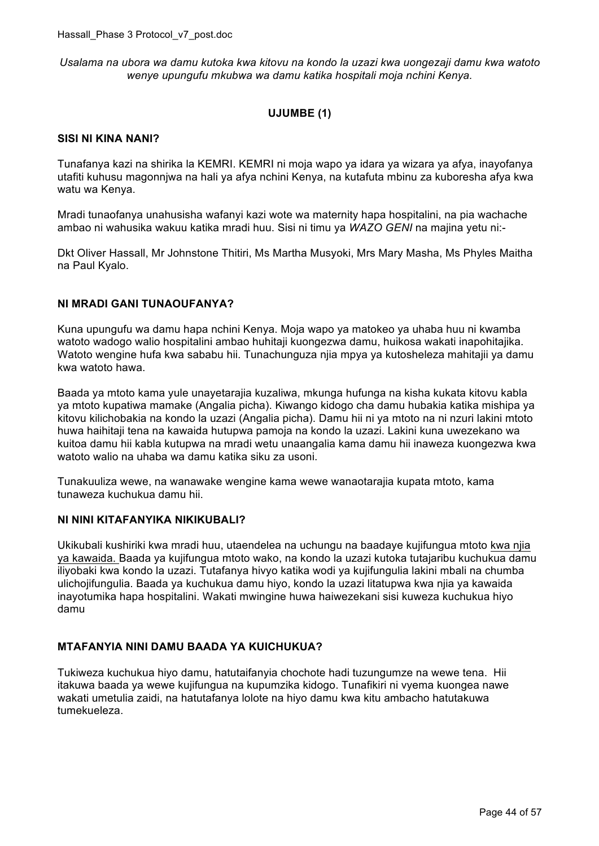*Usalama na ubora wa damu kutoka kwa kitovu na kondo la uzazi kwa uongezaji damu kwa watoto wenye upungufu mkubwa wa damu katika hospitali moja nchini Kenya.*

### **UJUMBE (1)**

#### **SISI NI KINA NANI?**

Tunafanya kazi na shirika la KEMRI. KEMRI ni moja wapo ya idara ya wizara ya afya, inayofanya utafiti kuhusu magonnjwa na hali ya afya nchini Kenya, na kutafuta mbinu za kuboresha afya kwa watu wa Kenya.

Mradi tunaofanya unahusisha wafanyi kazi wote wa maternity hapa hospitalini, na pia wachache ambao ni wahusika wakuu katika mradi huu. Sisi ni timu ya *WAZO GENI* na majina yetu ni:-

Dkt Oliver Hassall, Mr Johnstone Thitiri, Ms Martha Musyoki, Mrs Mary Masha, Ms Phyles Maitha na Paul Kyalo.

#### **NI MRADI GANI TUNAOUFANYA?**

Kuna upungufu wa damu hapa nchini Kenya. Moja wapo ya matokeo ya uhaba huu ni kwamba watoto wadogo walio hospitalini ambao huhitaji kuongezwa damu, huikosa wakati inapohitajika. Watoto wengine hufa kwa sababu hii. Tunachunguza njia mpya ya kutosheleza mahitajii ya damu kwa watoto hawa.

Baada ya mtoto kama yule unayetarajia kuzaliwa, mkunga hufunga na kisha kukata kitovu kabla ya mtoto kupatiwa mamake (Angalia picha). Kiwango kidogo cha damu hubakia katika mishipa ya kitovu kilichobakia na kondo la uzazi (Angalia picha). Damu hii ni ya mtoto na ni nzuri lakini mtoto huwa haihitaji tena na kawaida hutupwa pamoja na kondo la uzazi. Lakini kuna uwezekano wa kuitoa damu hii kabla kutupwa na mradi wetu unaangalia kama damu hii inaweza kuongezwa kwa watoto walio na uhaba wa damu katika siku za usoni.

Tunakuuliza wewe, na wanawake wengine kama wewe wanaotarajia kupata mtoto, kama tunaweza kuchukua damu hii.

#### **NI NINI KITAFANYIKA NIKIKUBALI?**

Ukikubali kushiriki kwa mradi huu, utaendelea na uchungu na baadaye kujifungua mtoto kwa njia ya kawaida. Baada ya kujifungua mtoto wako, na kondo la uzazi kutoka tutajaribu kuchukua damu iliyobaki kwa kondo la uzazi. Tutafanya hivyo katika wodi ya kujifungulia lakini mbali na chumba ulichojifungulia. Baada ya kuchukua damu hiyo, kondo la uzazi litatupwa kwa njia ya kawaida inayotumika hapa hospitalini. Wakati mwingine huwa haiwezekani sisi kuweza kuchukua hiyo damu

#### **MTAFANYIA NINI DAMU BAADA YA KUICHUKUA?**

Tukiweza kuchukua hiyo damu, hatutaifanyia chochote hadi tuzungumze na wewe tena. Hii itakuwa baada ya wewe kujifungua na kupumzika kidogo. Tunafikiri ni vyema kuongea nawe wakati umetulia zaidi, na hatutafanya lolote na hiyo damu kwa kitu ambacho hatutakuwa tumekueleza.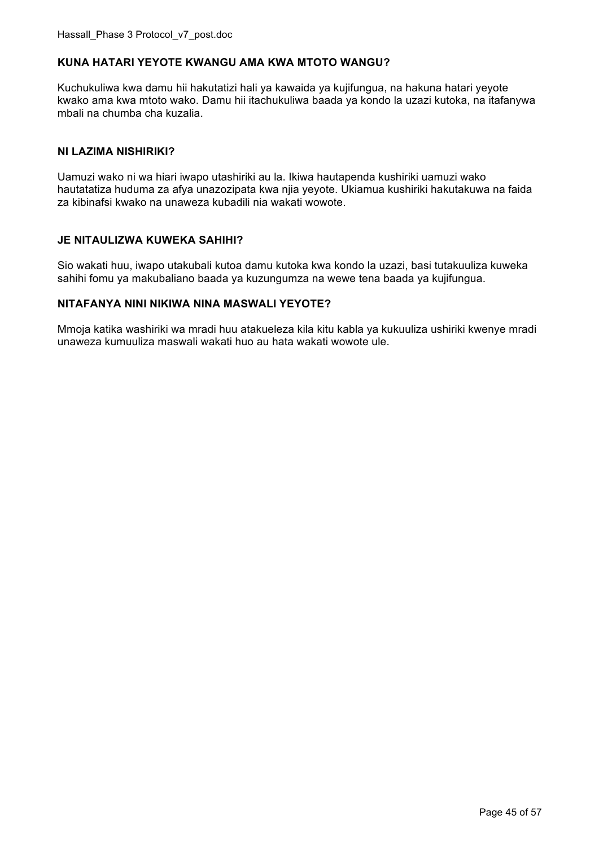#### **KUNA HATARI YEYOTE KWANGU AMA KWA MTOTO WANGU?**

Kuchukuliwa kwa damu hii hakutatizi hali ya kawaida ya kujifungua, na hakuna hatari yeyote kwako ama kwa mtoto wako. Damu hii itachukuliwa baada ya kondo la uzazi kutoka, na itafanywa mbali na chumba cha kuzalia.

#### **NI LAZIMA NISHIRIKI?**

Uamuzi wako ni wa hiari iwapo utashiriki au la. Ikiwa hautapenda kushiriki uamuzi wako hautatatiza huduma za afya unazozipata kwa njia yeyote. Ukiamua kushiriki hakutakuwa na faida za kibinafsi kwako na unaweza kubadili nia wakati wowote.

#### **JE NITAULIZWA KUWEKA SAHIHI?**

Sio wakati huu, iwapo utakubali kutoa damu kutoka kwa kondo la uzazi, basi tutakuuliza kuweka sahihi fomu ya makubaliano baada ya kuzungumza na wewe tena baada ya kujifungua.

#### **NITAFANYA NINI NIKIWA NINA MASWALI YEYOTE?**

Mmoja katika washiriki wa mradi huu atakueleza kila kitu kabla ya kukuuliza ushiriki kwenye mradi unaweza kumuuliza maswali wakati huo au hata wakati wowote ule.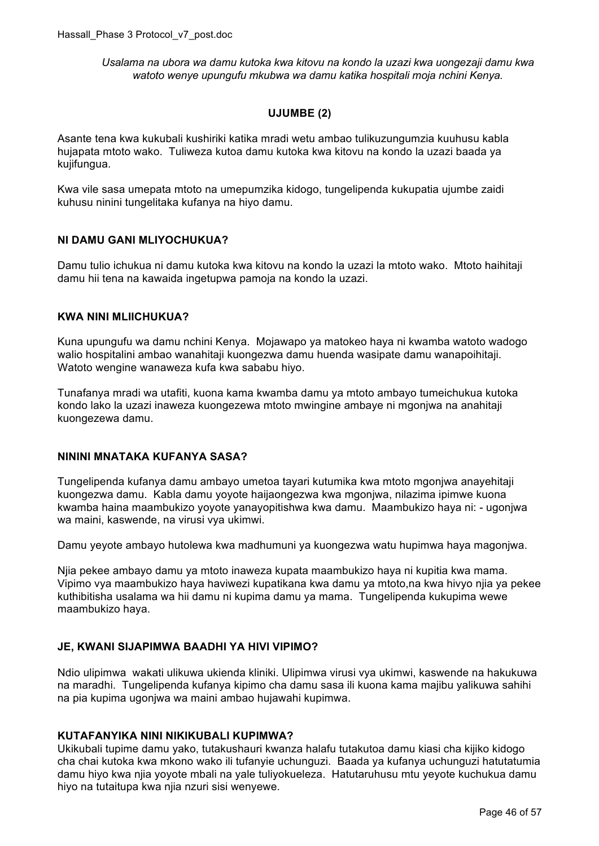*Usalama na ubora wa damu kutoka kwa kitovu na kondo la uzazi kwa uongezaji damu kwa watoto wenye upungufu mkubwa wa damu katika hospitali moja nchini Kenya.*

#### **UJUMBE (2)**

Asante tena kwa kukubali kushiriki katika mradi wetu ambao tulikuzungumzia kuuhusu kabla hujapata mtoto wako. Tuliweza kutoa damu kutoka kwa kitovu na kondo la uzazi baada ya kujifungua.

Kwa vile sasa umepata mtoto na umepumzika kidogo, tungelipenda kukupatia ujumbe zaidi kuhusu ninini tungelitaka kufanya na hiyo damu.

#### **NI DAMU GANI MLIYOCHUKUA?**

Damu tulio ichukua ni damu kutoka kwa kitovu na kondo la uzazi la mtoto wako. Mtoto haihitaji damu hii tena na kawaida ingetupwa pamoja na kondo la uzazi.

#### **KWA NINI MLIICHUKUA?**

Kuna upungufu wa damu nchini Kenya. Mojawapo ya matokeo haya ni kwamba watoto wadogo walio hospitalini ambao wanahitaji kuongezwa damu huenda wasipate damu wanapoihitaji. Watoto wengine wanaweza kufa kwa sababu hiyo.

Tunafanya mradi wa utafiti, kuona kama kwamba damu ya mtoto ambayo tumeichukua kutoka kondo lako la uzazi inaweza kuongezewa mtoto mwingine ambaye ni mgonjwa na anahitaji kuongezewa damu.

#### **NININI MNATAKA KUFANYA SASA?**

Tungelipenda kufanya damu ambayo umetoa tayari kutumika kwa mtoto mgonjwa anayehitaji kuongezwa damu. Kabla damu yoyote haijaongezwa kwa mgonjwa, nilazima ipimwe kuona kwamba haina maambukizo yoyote yanayopitishwa kwa damu. Maambukizo haya ni: - ugonjwa wa maini, kaswende, na virusi vya ukimwi.

Damu yeyote ambayo hutolewa kwa madhumuni ya kuongezwa watu hupimwa haya magonjwa.

Njia pekee ambayo damu ya mtoto inaweza kupata maambukizo haya ni kupitia kwa mama. Vipimo vya maambukizo haya haviwezi kupatikana kwa damu ya mtoto,na kwa hivyo njia ya pekee kuthibitisha usalama wa hii damu ni kupima damu ya mama. Tungelipenda kukupima wewe maambukizo haya.

#### **JE, KWANI SIJAPIMWA BAADHI YA HIVI VIPIMO?**

Ndio ulipimwa wakati ulikuwa ukienda kliniki. Ulipimwa virusi vya ukimwi, kaswende na hakukuwa na maradhi. Tungelipenda kufanya kipimo cha damu sasa ili kuona kama majibu yalikuwa sahihi na pia kupima ugonjwa wa maini ambao hujawahi kupimwa.

#### **KUTAFANYIKA NINI NIKIKUBALI KUPIMWA?**

Ukikubali tupime damu yako, tutakushauri kwanza halafu tutakutoa damu kiasi cha kijiko kidogo cha chai kutoka kwa mkono wako ili tufanyie uchunguzi. Baada ya kufanya uchunguzi hatutatumia damu hiyo kwa njia yoyote mbali na yale tuliyokueleza. Hatutaruhusu mtu yeyote kuchukua damu hiyo na tutaitupa kwa njia nzuri sisi wenyewe.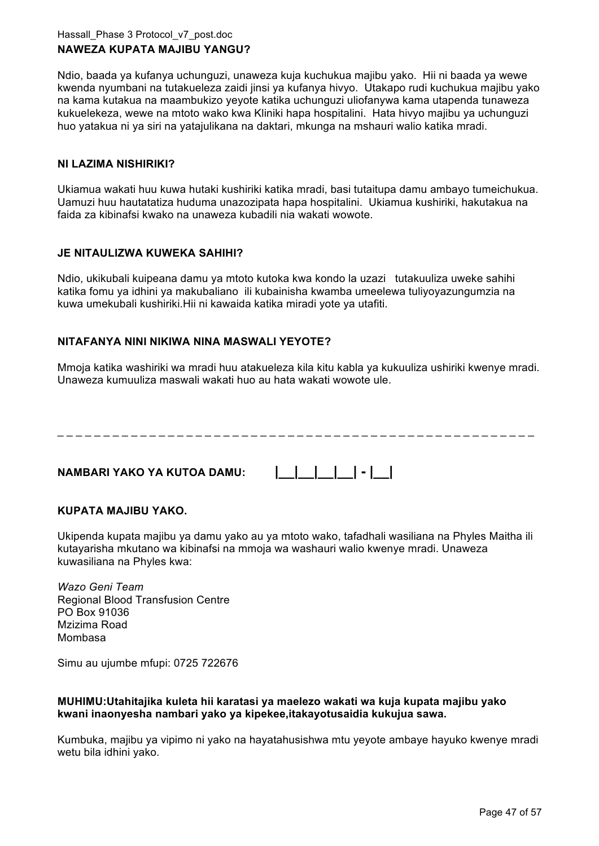Ndio, baada ya kufanya uchunguzi, unaweza kuja kuchukua majibu yako. Hii ni baada ya wewe kwenda nyumbani na tutakueleza zaidi jinsi ya kufanya hivyo. Utakapo rudi kuchukua majibu yako na kama kutakua na maambukizo yeyote katika uchunguzi uliofanywa kama utapenda tunaweza kukuelekeza, wewe na mtoto wako kwa Kliniki hapa hospitalini. Hata hivyo majibu ya uchunguzi huo yatakua ni ya siri na yatajulikana na daktari, mkunga na mshauri walio katika mradi.

#### **NI LAZIMA NISHIRIKI?**

Ukiamua wakati huu kuwa hutaki kushiriki katika mradi, basi tutaitupa damu ambayo tumeichukua. Uamuzi huu hautatatiza huduma unazozipata hapa hospitalini. Ukiamua kushiriki, hakutakua na faida za kibinafsi kwako na unaweza kubadili nia wakati wowote.

#### **JE NITAULIZWA KUWEKA SAHIHI?**

Ndio, ukikubali kuipeana damu ya mtoto kutoka kwa kondo la uzazi tutakuuliza uweke sahihi katika fomu ya idhini ya makubaliano ili kubainisha kwamba umeelewa tuliyoyazungumzia na kuwa umekubali kushiriki.Hii ni kawaida katika miradi yote ya utafiti.

#### **NITAFANYA NINI NIKIWA NINA MASWALI YEYOTE?**

Mmoja katika washiriki wa mradi huu atakueleza kila kitu kabla ya kukuuliza ushiriki kwenye mradi. Unaweza kumuuliza maswali wakati huo au hata wakati wowote ule.

\_ \_ \_ \_ \_ \_ \_ \_ \_ \_ \_ \_ \_ \_ \_ \_ \_ \_ \_ \_ \_ \_ \_ \_ \_ \_ \_ \_ \_ \_ \_ \_ \_ \_ \_ \_ \_ \_ \_ \_ \_ \_ \_ \_ \_ \_ \_ \_ \_ \_ \_ \_

**NAMBARI YAKO YA KUTOA DAMU: |\_\_|\_\_|\_\_|\_\_| - |\_\_|**

#### **KUPATA MAJIBU YAKO.**

Ukipenda kupata majibu ya damu yako au ya mtoto wako, tafadhali wasiliana na Phyles Maitha ili kutayarisha mkutano wa kibinafsi na mmoja wa washauri walio kwenye mradi. Unaweza kuwasiliana na Phyles kwa:

*Wazo Geni Team* Regional Blood Transfusion Centre PO Box 91036 Mzizima Road Mombasa

Simu au ujumbe mfupi: 0725 722676

#### **MUHIMU:Utahitajika kuleta hii karatasi ya maelezo wakati wa kuja kupata majibu yako kwani inaonyesha nambari yako ya kipekee,itakayotusaidia kukujua sawa.**

Kumbuka, majibu ya vipimo ni yako na hayatahusishwa mtu yeyote ambaye hayuko kwenye mradi wetu bila idhini yako.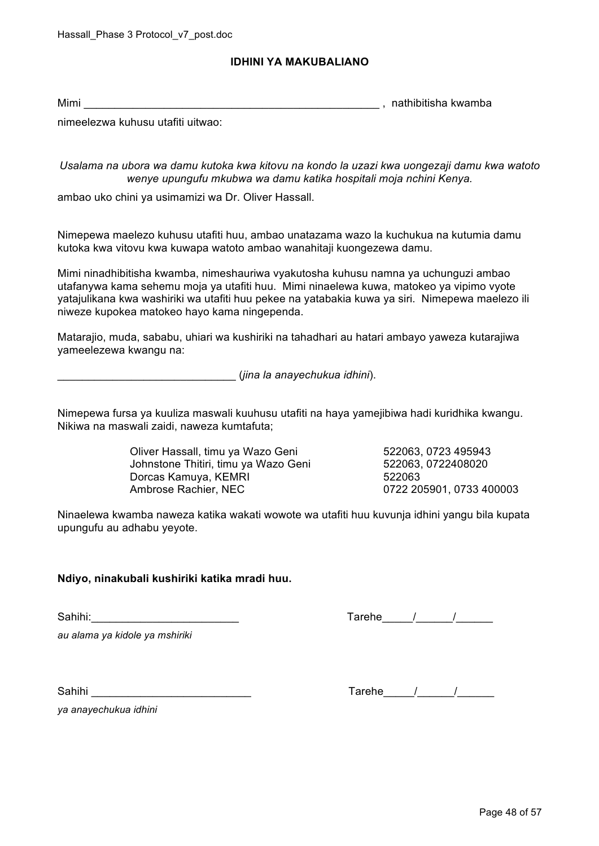### **IDHINI YA MAKUBALIANO**

Mimi \_\_\_\_\_\_\_\_\_\_\_\_\_\_\_\_\_\_\_\_\_\_\_\_\_\_\_\_\_\_\_\_\_\_\_\_\_\_\_\_\_\_\_\_\_\_\_\_ , nathibitisha kwamba

nimeelezwa kuhusu utafiti uitwao:

*Usalama na ubora wa damu kutoka kwa kitovu na kondo la uzazi kwa uongezaji damu kwa watoto wenye upungufu mkubwa wa damu katika hospitali moja nchini Kenya.*

ambao uko chini ya usimamizi wa Dr. Oliver Hassall.

Nimepewa maelezo kuhusu utafiti huu, ambao unatazama wazo la kuchukua na kutumia damu kutoka kwa vitovu kwa kuwapa watoto ambao wanahitaji kuongezewa damu.

Mimi ninadhibitisha kwamba, nimeshauriwa vyakutosha kuhusu namna ya uchunguzi ambao utafanywa kama sehemu moja ya utafiti huu. Mimi ninaelewa kuwa, matokeo ya vipimo vyote yatajulikana kwa washiriki wa utafiti huu pekee na yatabakia kuwa ya siri. Nimepewa maelezo ili niweze kupokea matokeo hayo kama ningependa.

Matarajio, muda, sababu, uhiari wa kushiriki na tahadhari au hatari ambayo yaweza kutarajiwa yameelezewa kwangu na:

\_\_\_\_\_\_\_\_\_\_\_\_\_\_\_\_\_\_\_\_\_\_\_\_\_\_\_\_\_ (*jina la anayechukua idhini*).

Nimepewa fursa ya kuuliza maswali kuuhusu utafiti na haya yamejibiwa hadi kuridhika kwangu. Nikiwa na maswali zaidi, naweza kumtafuta;

> Oliver Hassall, timu ya Wazo Geni 522063, 0723 495943 Johnstone Thitiri, timu ya Wazo Geni 522063, 0722408020 Dorcas Kamuya, KEMRI 522063

0722 205901, 0733 400003

Ninaelewa kwamba naweza katika wakati wowote wa utafiti huu kuvunja idhini yangu bila kupata upungufu au adhabu yeyote.

#### **Ndiyo, ninakubali kushiriki katika mradi huu.**

Sahihi:\_\_\_\_\_\_\_\_\_\_\_\_\_\_\_\_\_\_\_\_\_\_\_\_ Tarehe\_\_\_\_\_/\_\_\_\_\_\_/\_\_\_\_\_\_

*au alama ya kidole ya mshiriki*

Sahihi \_\_\_\_\_\_\_\_\_\_\_\_\_\_\_\_\_\_\_\_\_\_\_\_\_\_ Tarehe\_\_\_\_\_/\_\_\_\_\_\_/\_\_\_\_\_\_

*ya anayechukua idhini*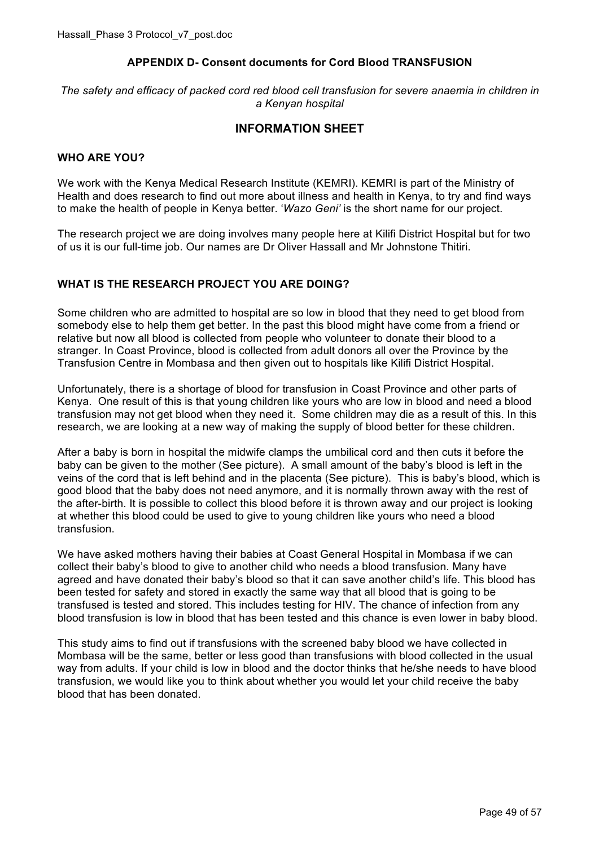#### **APPENDIX D- Consent documents for Cord Blood TRANSFUSION**

*The safety and efficacy of packed cord red blood cell transfusion for severe anaemia in children in a Kenyan hospital*

### **INFORMATION SHEET**

#### **WHO ARE YOU?**

We work with the Kenya Medical Research Institute (KEMRI). KEMRI is part of the Ministry of Health and does research to find out more about illness and health in Kenya, to try and find ways to make the health of people in Kenya better. '*Wazo Geni'* is the short name for our project.

The research project we are doing involves many people here at Kilifi District Hospital but for two of us it is our full-time job. Our names are Dr Oliver Hassall and Mr Johnstone Thitiri.

#### **WHAT IS THE RESEARCH PROJECT YOU ARE DOING?**

Some children who are admitted to hospital are so low in blood that they need to get blood from somebody else to help them get better. In the past this blood might have come from a friend or relative but now all blood is collected from people who volunteer to donate their blood to a stranger. In Coast Province, blood is collected from adult donors all over the Province by the Transfusion Centre in Mombasa and then given out to hospitals like Kilifi District Hospital.

Unfortunately, there is a shortage of blood for transfusion in Coast Province and other parts of Kenya. One result of this is that young children like yours who are low in blood and need a blood transfusion may not get blood when they need it. Some children may die as a result of this. In this research, we are looking at a new way of making the supply of blood better for these children.

After a baby is born in hospital the midwife clamps the umbilical cord and then cuts it before the baby can be given to the mother (See picture). A small amount of the baby's blood is left in the veins of the cord that is left behind and in the placenta (See picture). This is baby's blood, which is good blood that the baby does not need anymore, and it is normally thrown away with the rest of the after-birth. It is possible to collect this blood before it is thrown away and our project is looking at whether this blood could be used to give to young children like yours who need a blood transfusion.

We have asked mothers having their babies at Coast General Hospital in Mombasa if we can collect their baby's blood to give to another child who needs a blood transfusion. Many have agreed and have donated their baby's blood so that it can save another child's life. This blood has been tested for safety and stored in exactly the same way that all blood that is going to be transfused is tested and stored. This includes testing for HIV. The chance of infection from any blood transfusion is low in blood that has been tested and this chance is even lower in baby blood.

This study aims to find out if transfusions with the screened baby blood we have collected in Mombasa will be the same, better or less good than transfusions with blood collected in the usual way from adults. If your child is low in blood and the doctor thinks that he/she needs to have blood transfusion, we would like you to think about whether you would let your child receive the baby blood that has been donated.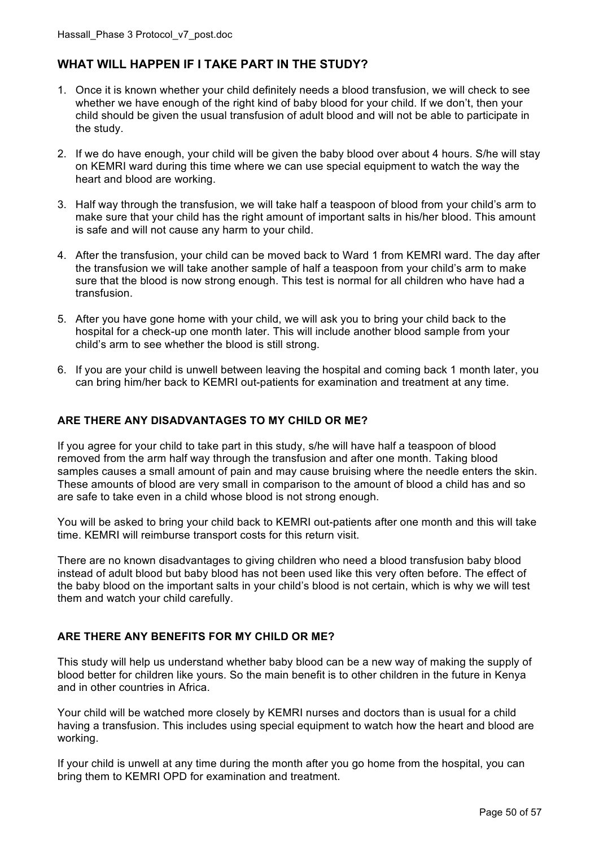## **WHAT WILL HAPPEN IF I TAKE PART IN THE STUDY?**

- 1. Once it is known whether your child definitely needs a blood transfusion, we will check to see whether we have enough of the right kind of baby blood for your child. If we don't, then your child should be given the usual transfusion of adult blood and will not be able to participate in the study.
- 2. If we do have enough, your child will be given the baby blood over about 4 hours. S/he will stay on KEMRI ward during this time where we can use special equipment to watch the way the heart and blood are working.
- 3. Half way through the transfusion, we will take half a teaspoon of blood from your child's arm to make sure that your child has the right amount of important salts in his/her blood. This amount is safe and will not cause any harm to your child.
- 4. After the transfusion, your child can be moved back to Ward 1 from KEMRI ward. The day after the transfusion we will take another sample of half a teaspoon from your child's arm to make sure that the blood is now strong enough. This test is normal for all children who have had a transfusion.
- 5. After you have gone home with your child, we will ask you to bring your child back to the hospital for a check-up one month later. This will include another blood sample from your child's arm to see whether the blood is still strong.
- 6. If you are your child is unwell between leaving the hospital and coming back 1 month later, you can bring him/her back to KEMRI out-patients for examination and treatment at any time.

#### **ARE THERE ANY DISADVANTAGES TO MY CHILD OR ME?**

If you agree for your child to take part in this study, s/he will have half a teaspoon of blood removed from the arm half way through the transfusion and after one month. Taking blood samples causes a small amount of pain and may cause bruising where the needle enters the skin. These amounts of blood are very small in comparison to the amount of blood a child has and so are safe to take even in a child whose blood is not strong enough.

You will be asked to bring your child back to KEMRI out-patients after one month and this will take time. KEMRI will reimburse transport costs for this return visit.

There are no known disadvantages to giving children who need a blood transfusion baby blood instead of adult blood but baby blood has not been used like this very often before. The effect of the baby blood on the important salts in your child's blood is not certain, which is why we will test them and watch your child carefully.

#### **ARE THERE ANY BENEFITS FOR MY CHILD OR ME?**

This study will help us understand whether baby blood can be a new way of making the supply of blood better for children like yours. So the main benefit is to other children in the future in Kenya and in other countries in Africa.

Your child will be watched more closely by KEMRI nurses and doctors than is usual for a child having a transfusion. This includes using special equipment to watch how the heart and blood are working.

If your child is unwell at any time during the month after you go home from the hospital, you can bring them to KEMRI OPD for examination and treatment.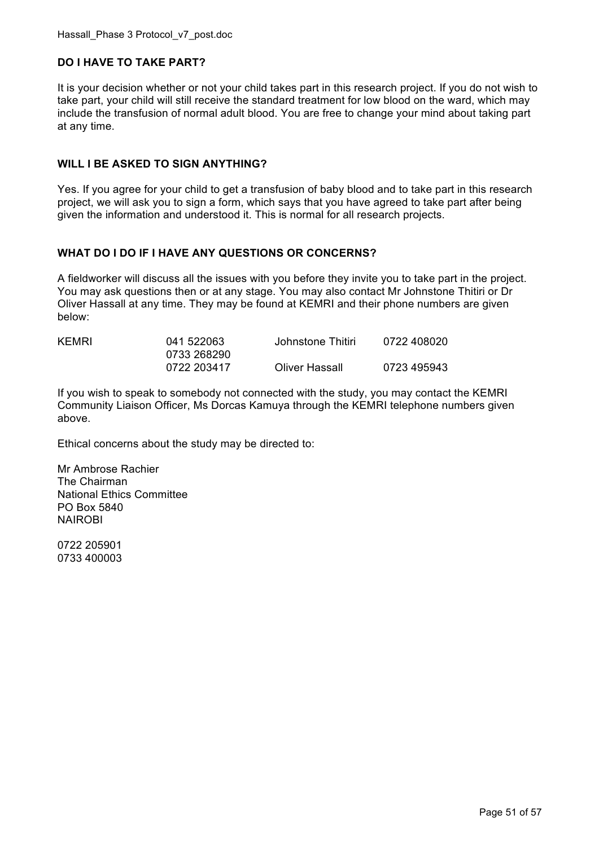### **DO I HAVE TO TAKE PART?**

It is your decision whether or not your child takes part in this research project. If you do not wish to take part, your child will still receive the standard treatment for low blood on the ward, which may include the transfusion of normal adult blood. You are free to change your mind about taking part at any time.

### **WILL I BE ASKED TO SIGN ANYTHING?**

Yes. If you agree for your child to get a transfusion of baby blood and to take part in this research project, we will ask you to sign a form, which says that you have agreed to take part after being given the information and understood it. This is normal for all research projects.

#### **WHAT DO I DO IF I HAVE ANY QUESTIONS OR CONCERNS?**

A fieldworker will discuss all the issues with you before they invite you to take part in the project. You may ask questions then or at any stage. You may also contact Mr Johnstone Thitiri or Dr Oliver Hassall at any time. They may be found at KEMRI and their phone numbers are given below:

| KEMRI | 041 522063  | Johnstone Thitiri | 0722 408020 |
|-------|-------------|-------------------|-------------|
|       | 0733 268290 |                   |             |
|       | 0722 203417 | Oliver Hassall    | 0723 495943 |

If you wish to speak to somebody not connected with the study, you may contact the KEMRI Community Liaison Officer, Ms Dorcas Kamuya through the KEMRI telephone numbers given above.

Ethical concerns about the study may be directed to:

Mr Ambrose Rachier The Chairman National Ethics Committee PO Box 5840 NAIROBI

0722 205901 0733 400003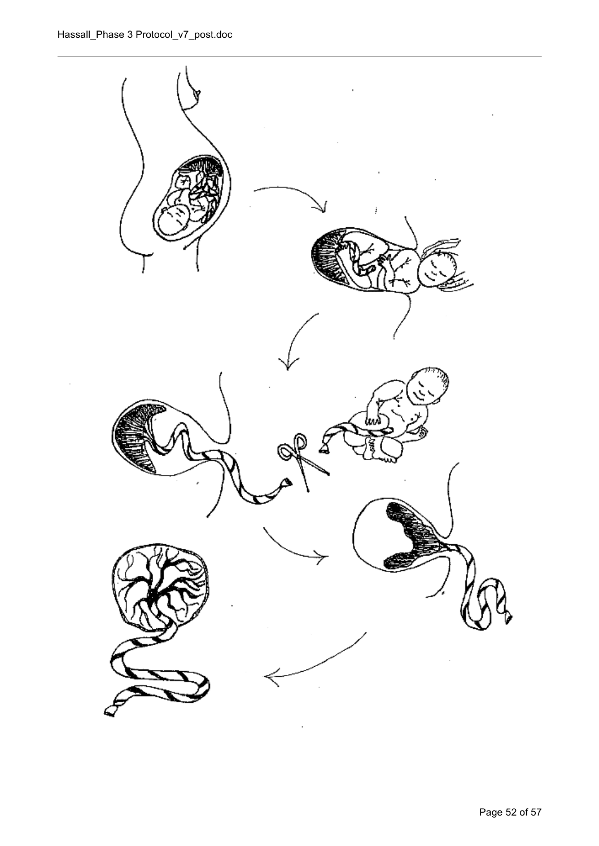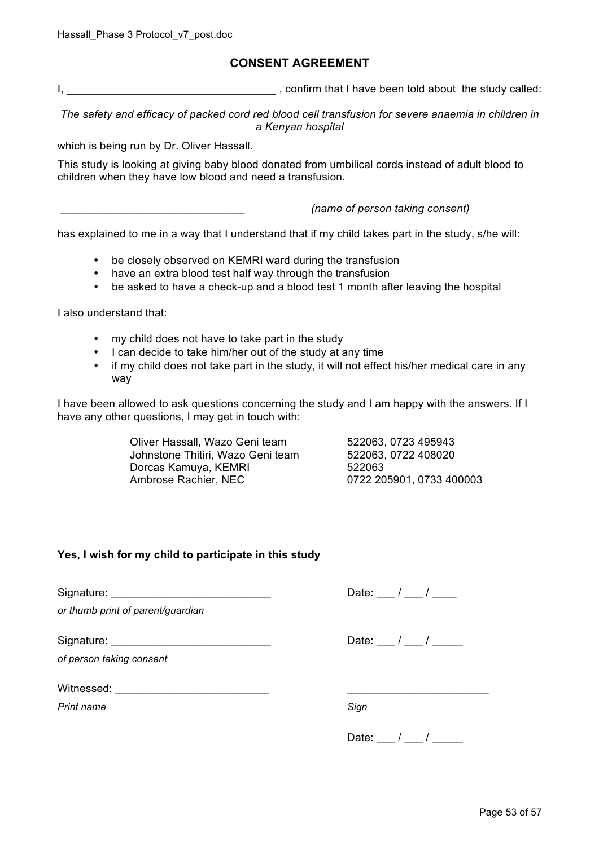### **CONSENT AGREEMENT**

I, the study called:  $\blacksquare$ , confirm that I have been told about the study called:

*The safety and efficacy of packed cord red blood cell transfusion for severe anaemia in children in a Kenyan hospital*

which is being run by Dr. Oliver Hassall.

This study is looking at giving baby blood donated from umbilical cords instead of adult blood to children when they have low blood and need a transfusion.

\_\_\_\_\_\_\_\_\_\_\_\_\_\_\_\_\_\_\_\_\_\_\_\_\_\_\_\_\_\_ *(name of person taking consent)*

has explained to me in a way that I understand that if my child takes part in the study, s/he will:

- be closely observed on KEMRI ward during the transfusion
- have an extra blood test half way through the transfusion
- be asked to have a check-up and a blood test 1 month after leaving the hospital

I also understand that:

- my child does not have to take part in the study
- I can decide to take him/her out of the study at any time
- if my child does not take part in the study, it will not effect his/her medical care in any way

I have been allowed to ask questions concerning the study and I am happy with the answers. If I have any other questions, I may get in touch with:

> Oliver Hassall, Wazo Geni team 522063, 0723 495943 Johnstone Thitiri, Wazo Geni team 522063, 0722 408020 Dorcas Kamuya, KEMRI<br>Ambrose Rachier, NEC

0722 205901, 0733 400003

#### **Yes, I wish for my child to participate in this study**

| Signature: | Date: |  |
|------------|-------|--|
|            |       |  |

*or thumb print of parent/guardian*

| .<br>я<br>٠.<br>$\sim$ |  |  |  |
|------------------------|--|--|--|
|                        |  |  |  |
|                        |  |  |  |
|                        |  |  |  |

Signature: \_\_\_\_\_\_\_\_\_\_\_\_\_\_\_\_\_\_\_\_\_\_\_\_\_\_ Date: \_\_\_ / \_\_\_ / \_\_\_\_\_

*of person taking consent*

Witnessed: **Witnessed:**  $\blacksquare$ 

*Print name Sign*

Date:  $\frac{1}{2}$  /  $\frac{1}{2}$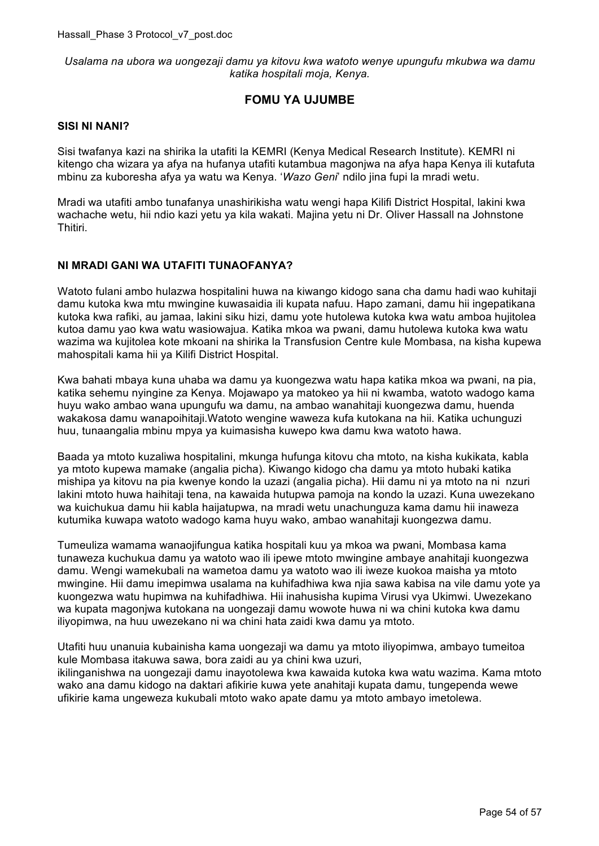*Usalama na ubora wa uongezaji damu ya kitovu kwa watoto wenye upungufu mkubwa wa damu katika hospitali moja, Kenya.*

### **FOMU YA UJUMBE**

#### **SISI NI NANI?**

Sisi twafanya kazi na shirika la utafiti la KEMRI (Kenya Medical Research Institute). KEMRI ni kitengo cha wizara ya afya na hufanya utafiti kutambua magonjwa na afya hapa Kenya ili kutafuta mbinu za kuboresha afya ya watu wa Kenya. '*Wazo Geni*' ndilo jina fupi la mradi wetu.

Mradi wa utafiti ambo tunafanya unashirikisha watu wengi hapa Kilifi District Hospital, lakini kwa wachache wetu, hii ndio kazi yetu ya kila wakati. Majina yetu ni Dr. Oliver Hassall na Johnstone **Thitiri** 

#### **NI MRADI GANI WA UTAFITI TUNAOFANYA?**

Watoto fulani ambo hulazwa hospitalini huwa na kiwango kidogo sana cha damu hadi wao kuhitaji damu kutoka kwa mtu mwingine kuwasaidia ili kupata nafuu. Hapo zamani, damu hii ingepatikana kutoka kwa rafiki, au jamaa, lakini siku hizi, damu yote hutolewa kutoka kwa watu amboa hujitolea kutoa damu yao kwa watu wasiowajua. Katika mkoa wa pwani, damu hutolewa kutoka kwa watu wazima wa kujitolea kote mkoani na shirika la Transfusion Centre kule Mombasa, na kisha kupewa mahospitali kama hii ya Kilifi District Hospital.

Kwa bahati mbaya kuna uhaba wa damu ya kuongezwa watu hapa katika mkoa wa pwani, na pia, katika sehemu nyingine za Kenya. Mojawapo ya matokeo ya hii ni kwamba, watoto wadogo kama huyu wako ambao wana upungufu wa damu, na ambao wanahitaji kuongezwa damu, huenda wakakosa damu wanapoihitaji.Watoto wengine waweza kufa kutokana na hii. Katika uchunguzi huu, tunaangalia mbinu mpya ya kuimasisha kuwepo kwa damu kwa watoto hawa.

Baada ya mtoto kuzaliwa hospitalini, mkunga hufunga kitovu cha mtoto, na kisha kukikata, kabla ya mtoto kupewa mamake (angalia picha). Kiwango kidogo cha damu ya mtoto hubaki katika mishipa ya kitovu na pia kwenye kondo la uzazi (angalia picha). Hii damu ni ya mtoto na ni nzuri lakini mtoto huwa haihitaji tena, na kawaida hutupwa pamoja na kondo la uzazi. Kuna uwezekano wa kuichukua damu hii kabla haijatupwa, na mradi wetu unachunguza kama damu hii inaweza kutumika kuwapa watoto wadogo kama huyu wako, ambao wanahitaji kuongezwa damu.

Tumeuliza wamama wanaojifungua katika hospitali kuu ya mkoa wa pwani, Mombasa kama tunaweza kuchukua damu ya watoto wao ili ipewe mtoto mwingine ambaye anahitaji kuongezwa damu. Wengi wamekubali na wametoa damu ya watoto wao ili iweze kuokoa maisha ya mtoto mwingine. Hii damu imepimwa usalama na kuhifadhiwa kwa njia sawa kabisa na vile damu yote ya kuongezwa watu hupimwa na kuhifadhiwa. Hii inahusisha kupima Virusi vya Ukimwi. Uwezekano wa kupata magonjwa kutokana na uongezaji damu wowote huwa ni wa chini kutoka kwa damu iliyopimwa, na huu uwezekano ni wa chini hata zaidi kwa damu ya mtoto.

Utafiti huu unanuia kubainisha kama uongezaji wa damu ya mtoto iliyopimwa, ambayo tumeitoa kule Mombasa itakuwa sawa, bora zaidi au ya chini kwa uzuri, ikilinganishwa na uongezaji damu inayotolewa kwa kawaida kutoka kwa watu wazima. Kama mtoto wako ana damu kidogo na daktari afikirie kuwa yete anahitaji kupata damu, tungependa wewe ufikirie kama ungeweza kukubali mtoto wako apate damu ya mtoto ambayo imetolewa.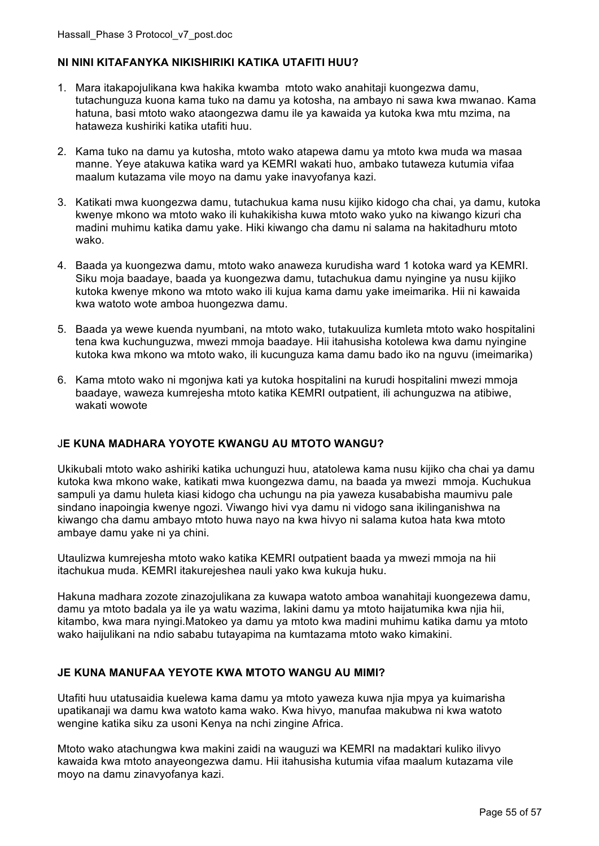#### **NI NINI KITAFANYKA NIKISHIRIKI KATIKA UTAFITI HUU?**

- 1. Mara itakapojulikana kwa hakika kwamba mtoto wako anahitaji kuongezwa damu, tutachunguza kuona kama tuko na damu ya kotosha, na ambayo ni sawa kwa mwanao. Kama hatuna, basi mtoto wako ataongezwa damu ile ya kawaida ya kutoka kwa mtu mzima, na hataweza kushiriki katika utafiti huu.
- 2. Kama tuko na damu ya kutosha, mtoto wako atapewa damu ya mtoto kwa muda wa masaa manne. Yeye atakuwa katika ward ya KEMRI wakati huo, ambako tutaweza kutumia vifaa maalum kutazama vile moyo na damu yake inavyofanya kazi.
- 3. Katikati mwa kuongezwa damu, tutachukua kama nusu kijiko kidogo cha chai, ya damu, kutoka kwenye mkono wa mtoto wako ili kuhakikisha kuwa mtoto wako yuko na kiwango kizuri cha madini muhimu katika damu yake. Hiki kiwango cha damu ni salama na hakitadhuru mtoto wako.
- 4. Baada ya kuongezwa damu, mtoto wako anaweza kurudisha ward 1 kotoka ward ya KEMRI. Siku moja baadaye, baada ya kuongezwa damu, tutachukua damu nyingine ya nusu kijiko kutoka kwenye mkono wa mtoto wako ili kujua kama damu yake imeimarika. Hii ni kawaida kwa watoto wote amboa huongezwa damu.
- 5. Baada ya wewe kuenda nyumbani, na mtoto wako, tutakuuliza kumleta mtoto wako hospitalini tena kwa kuchunguzwa, mwezi mmoja baadaye. Hii itahusisha kotolewa kwa damu nyingine kutoka kwa mkono wa mtoto wako, ili kucunguza kama damu bado iko na nguvu (imeimarika)
- 6. Kama mtoto wako ni mgonjwa kati ya kutoka hospitalini na kurudi hospitalini mwezi mmoja baadaye, waweza kumrejesha mtoto katika KEMRI outpatient, ili achunguzwa na atibiwe, wakati wowote

#### J**E KUNA MADHARA YOYOTE KWANGU AU MTOTO WANGU?**

Ukikubali mtoto wako ashiriki katika uchunguzi huu, atatolewa kama nusu kijiko cha chai ya damu kutoka kwa mkono wake, katikati mwa kuongezwa damu, na baada ya mwezi mmoja. Kuchukua sampuli ya damu huleta kiasi kidogo cha uchungu na pia yaweza kusababisha maumivu pale sindano inapoingia kwenye ngozi. Viwango hivi vya damu ni vidogo sana ikilinganishwa na kiwango cha damu ambayo mtoto huwa nayo na kwa hivyo ni salama kutoa hata kwa mtoto ambaye damu yake ni ya chini.

Utaulizwa kumrejesha mtoto wako katika KEMRI outpatient baada ya mwezi mmoja na hii itachukua muda. KEMRI itakurejeshea nauli yako kwa kukuja huku.

Hakuna madhara zozote zinazojulikana za kuwapa watoto amboa wanahitaji kuongezewa damu, damu ya mtoto badala ya ile ya watu wazima, lakini damu ya mtoto haijatumika kwa njia hii, kitambo, kwa mara nyingi.Matokeo ya damu ya mtoto kwa madini muhimu katika damu ya mtoto wako haijulikani na ndio sababu tutayapima na kumtazama mtoto wako kimakini.

#### **JE KUNA MANUFAA YEYOTE KWA MTOTO WANGU AU MIMI?**

Utafiti huu utatusaidia kuelewa kama damu ya mtoto yaweza kuwa njia mpya ya kuimarisha upatikanaji wa damu kwa watoto kama wako. Kwa hivyo, manufaa makubwa ni kwa watoto wengine katika siku za usoni Kenya na nchi zingine Africa.

Mtoto wako atachungwa kwa makini zaidi na wauguzi wa KEMRI na madaktari kuliko ilivyo kawaida kwa mtoto anayeongezwa damu. Hii itahusisha kutumia vifaa maalum kutazama vile moyo na damu zinavyofanya kazi.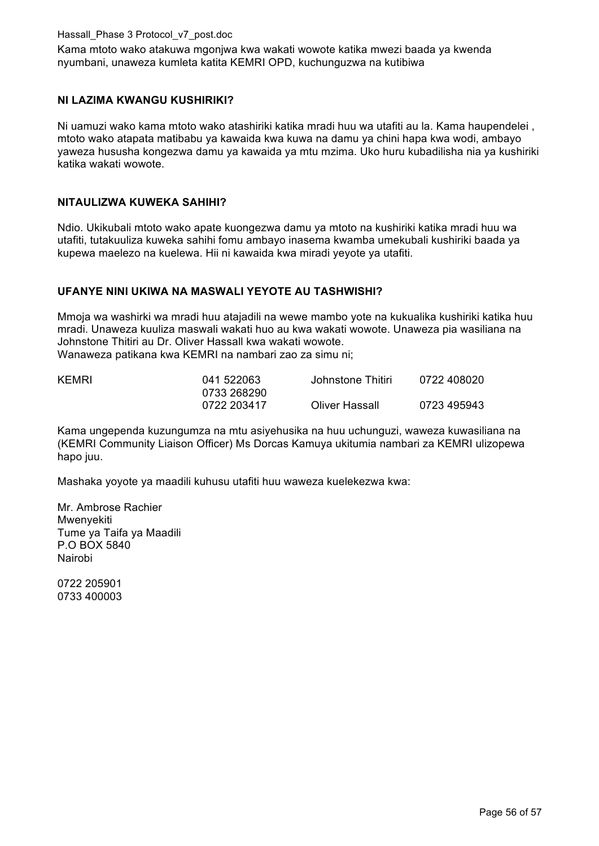#### Hassall\_Phase 3 Protocol\_v7\_post.doc

Kama mtoto wako atakuwa mgonjwa kwa wakati wowote katika mwezi baada ya kwenda nyumbani, unaweza kumleta katita KEMRI OPD, kuchunguzwa na kutibiwa

#### **NI LAZIMA KWANGU KUSHIRIKI?**

Ni uamuzi wako kama mtoto wako atashiriki katika mradi huu wa utafiti au la. Kama haupendelei , mtoto wako atapata matibabu ya kawaida kwa kuwa na damu ya chini hapa kwa wodi, ambayo yaweza hususha kongezwa damu ya kawaida ya mtu mzima. Uko huru kubadilisha nia ya kushiriki katika wakati wowote.

#### **NITAULIZWA KUWEKA SAHIHI?**

Ndio. Ukikubali mtoto wako apate kuongezwa damu ya mtoto na kushiriki katika mradi huu wa utafiti, tutakuuliza kuweka sahihi fomu ambayo inasema kwamba umekubali kushiriki baada ya kupewa maelezo na kuelewa. Hii ni kawaida kwa miradi yeyote ya utafiti.

#### **UFANYE NINI UKIWA NA MASWALI YEYOTE AU TASHWISHI?**

Mmoja wa washirki wa mradi huu atajadili na wewe mambo yote na kukualika kushiriki katika huu mradi. Unaweza kuuliza maswali wakati huo au kwa wakati wowote. Unaweza pia wasiliana na Johnstone Thitiri au Dr. Oliver Hassall kwa wakati wowote.

Wanaweza patikana kwa KEMRI na nambari zao za simu ni;

| KEMRI | 041 522063<br>0733 268290 | Johnstone Thitiri | 0722 408020 |
|-------|---------------------------|-------------------|-------------|
|       | 0722 203417               | Oliver Hassall    | 0723 495943 |

Kama ungependa kuzungumza na mtu asiyehusika na huu uchunguzi, waweza kuwasiliana na (KEMRI Community Liaison Officer) Ms Dorcas Kamuya ukitumia nambari za KEMRI ulizopewa hapo juu.

Mashaka yoyote ya maadili kuhusu utafiti huu waweza kuelekezwa kwa:

Mr. Ambrose Rachier Mwenyekiti Tume ya Taifa ya Maadili P.O BOX 5840 Nairobi

0722 205901 0733 400003